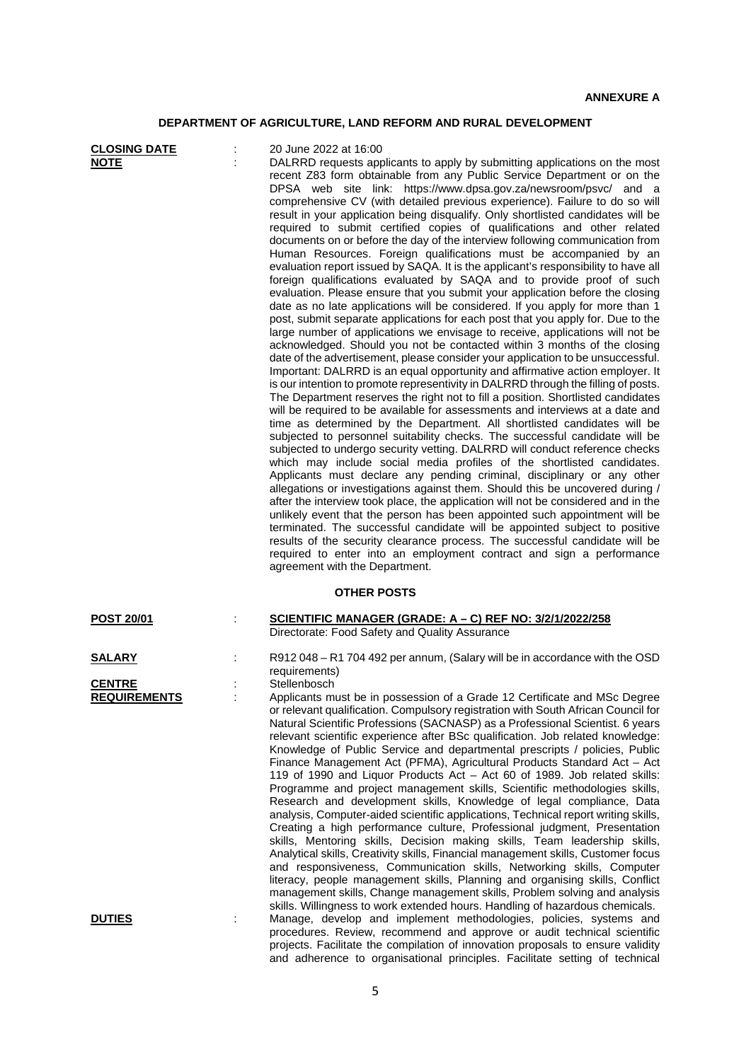## **DEPARTMENT OF AGRICULTURE, LAND REFORM AND RURAL DEVELOPMENT**

| <b>CLOSING DATE</b><br><b>NOTE</b>   | 20 June 2022 at 16:00<br>DALRRD requests applicants to apply by submitting applications on the most<br>recent Z83 form obtainable from any Public Service Department or on the<br>DPSA web site link: https://www.dpsa.gov.za/newsroom/psvc/ and a<br>comprehensive CV (with detailed previous experience). Failure to do so will<br>result in your application being disqualify. Only shortlisted candidates will be<br>required to submit certified copies of qualifications and other related<br>documents on or before the day of the interview following communication from<br>Human Resources. Foreign qualifications must be accompanied by an<br>evaluation report issued by SAQA. It is the applicant's responsibility to have all<br>foreign qualifications evaluated by SAQA and to provide proof of such<br>evaluation. Please ensure that you submit your application before the closing<br>date as no late applications will be considered. If you apply for more than 1<br>post, submit separate applications for each post that you apply for. Due to the<br>large number of applications we envisage to receive, applications will not be<br>acknowledged. Should you not be contacted within 3 months of the closing<br>date of the advertisement, please consider your application to be unsuccessful.<br>Important: DALRRD is an equal opportunity and affirmative action employer. It<br>is our intention to promote representivity in DALRRD through the filling of posts.<br>The Department reserves the right not to fill a position. Shortlisted candidates<br>will be required to be available for assessments and interviews at a date and<br>time as determined by the Department. All shortlisted candidates will be<br>subjected to personnel suitability checks. The successful candidate will be<br>subjected to undergo security vetting. DALRRD will conduct reference checks<br>which may include social media profiles of the shortlisted candidates.<br>Applicants must declare any pending criminal, disciplinary or any other<br>allegations or investigations against them. Should this be uncovered during /<br>after the interview took place, the application will not be considered and in the<br>unlikely event that the person has been appointed such appointment will be<br>terminated. The successful candidate will be appointed subject to positive<br>results of the security clearance process. The successful candidate will be<br>required to enter into an employment contract and sign a performance<br>agreement with the Department. |
|--------------------------------------|-------------------------------------------------------------------------------------------------------------------------------------------------------------------------------------------------------------------------------------------------------------------------------------------------------------------------------------------------------------------------------------------------------------------------------------------------------------------------------------------------------------------------------------------------------------------------------------------------------------------------------------------------------------------------------------------------------------------------------------------------------------------------------------------------------------------------------------------------------------------------------------------------------------------------------------------------------------------------------------------------------------------------------------------------------------------------------------------------------------------------------------------------------------------------------------------------------------------------------------------------------------------------------------------------------------------------------------------------------------------------------------------------------------------------------------------------------------------------------------------------------------------------------------------------------------------------------------------------------------------------------------------------------------------------------------------------------------------------------------------------------------------------------------------------------------------------------------------------------------------------------------------------------------------------------------------------------------------------------------------------------------------------------------------------------------------------------------------------------------------------------------------------------------------------------------------------------------------------------------------------------------------------------------------------------------------------------------------------------------------------------------------------------------------------------------------------------------------------------------------------------------------------------------------------------------------------------------------------|
|                                      | <b>OTHER POSTS</b>                                                                                                                                                                                                                                                                                                                                                                                                                                                                                                                                                                                                                                                                                                                                                                                                                                                                                                                                                                                                                                                                                                                                                                                                                                                                                                                                                                                                                                                                                                                                                                                                                                                                                                                                                                                                                                                                                                                                                                                                                                                                                                                                                                                                                                                                                                                                                                                                                                                                                                                                                                              |
| <b>POST 20/01</b>                    | <u>SCIENTIFIC MANAGER (GRADE: A – C) REF NO: 3/2/1/2022/258</u><br>Directorate: Food Safety and Quality Assurance                                                                                                                                                                                                                                                                                                                                                                                                                                                                                                                                                                                                                                                                                                                                                                                                                                                                                                                                                                                                                                                                                                                                                                                                                                                                                                                                                                                                                                                                                                                                                                                                                                                                                                                                                                                                                                                                                                                                                                                                                                                                                                                                                                                                                                                                                                                                                                                                                                                                               |
| <u>SALARY</u>                        | R912 048 - R1 704 492 per annum, (Salary will be in accordance with the OSD<br>requirements)                                                                                                                                                                                                                                                                                                                                                                                                                                                                                                                                                                                                                                                                                                                                                                                                                                                                                                                                                                                                                                                                                                                                                                                                                                                                                                                                                                                                                                                                                                                                                                                                                                                                                                                                                                                                                                                                                                                                                                                                                                                                                                                                                                                                                                                                                                                                                                                                                                                                                                    |
| <b>CENTRE</b><br><b>REQUIREMENTS</b> | Stellenbosch<br>Applicants must be in possession of a Grade 12 Certificate and MSc Degree<br>or relevant qualification. Compulsory registration with South African Council for<br>Natural Scientific Professions (SACNASP) as a Professional Scientist. 6 years<br>relevant scientific experience after BSc qualification. Job related knowledge:<br>Knowledge of Public Service and departmental prescripts / policies, Public<br>Finance Management Act (PFMA), Agricultural Products Standard Act - Act<br>119 of 1990 and Liquor Products Act - Act 60 of 1989. Job related skills:<br>Programme and project management skills, Scientific methodologies skills,<br>Research and development skills, Knowledge of legal compliance, Data<br>analysis, Computer-aided scientific applications, Technical report writing skills,<br>Creating a high performance culture, Professional judgment, Presentation<br>skills, Mentoring skills, Decision making skills, Team leadership skills,<br>Analytical skills, Creativity skills, Financial management skills, Customer focus<br>and responsiveness, Communication skills, Networking skills, Computer<br>literacy, people management skills, Planning and organising skills, Conflict<br>management skills, Change management skills, Problem solving and analysis<br>skills. Willingness to work extended hours. Handling of hazardous chemicals.                                                                                                                                                                                                                                                                                                                                                                                                                                                                                                                                                                                                                                                                                                                                                                                                                                                                                                                                                                                                                                                                                                                                                                                          |
| <b>DUTIES</b>                        | Manage, develop and implement methodologies, policies, systems and<br>procedures. Review, recommend and approve or audit technical scientific<br>projects. Facilitate the compilation of innovation proposals to ensure validity                                                                                                                                                                                                                                                                                                                                                                                                                                                                                                                                                                                                                                                                                                                                                                                                                                                                                                                                                                                                                                                                                                                                                                                                                                                                                                                                                                                                                                                                                                                                                                                                                                                                                                                                                                                                                                                                                                                                                                                                                                                                                                                                                                                                                                                                                                                                                                |

and adherence to organisational principles. Facilitate setting of technical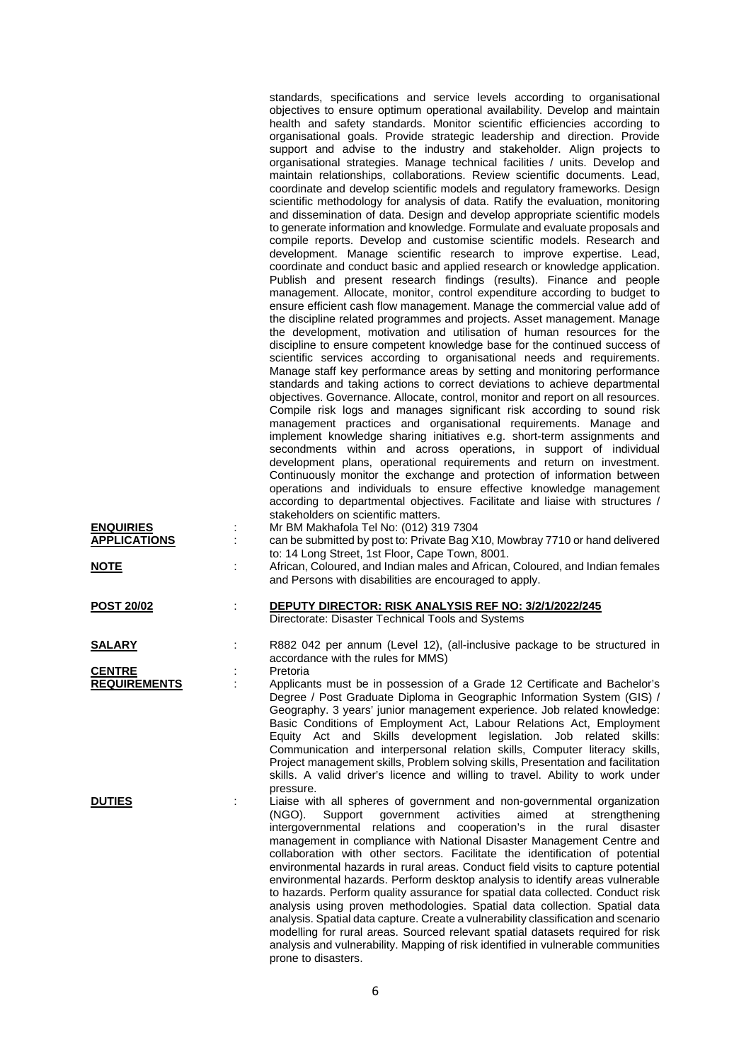|                     | standards, specifications and service levels according to organisational<br>objectives to ensure optimum operational availability. Develop and maintain<br>health and safety standards. Monitor scientific efficiencies according to<br>organisational goals. Provide strategic leadership and direction. Provide<br>support and advise to the industry and stakeholder. Align projects to<br>organisational strategies. Manage technical facilities / units. Develop and<br>maintain relationships, collaborations. Review scientific documents. Lead,<br>coordinate and develop scientific models and regulatory frameworks. Design<br>scientific methodology for analysis of data. Ratify the evaluation, monitoring<br>and dissemination of data. Design and develop appropriate scientific models<br>to generate information and knowledge. Formulate and evaluate proposals and<br>compile reports. Develop and customise scientific models. Research and<br>development. Manage scientific research to improve expertise. Lead,<br>coordinate and conduct basic and applied research or knowledge application.<br>Publish and present research findings (results). Finance and people<br>management. Allocate, monitor, control expenditure according to budget to<br>ensure efficient cash flow management. Manage the commercial value add of<br>the discipline related programmes and projects. Asset management. Manage<br>the development, motivation and utilisation of human resources for the<br>discipline to ensure competent knowledge base for the continued success of<br>scientific services according to organisational needs and requirements.<br>Manage staff key performance areas by setting and monitoring performance<br>standards and taking actions to correct deviations to achieve departmental<br>objectives. Governance. Allocate, control, monitor and report on all resources.<br>Compile risk logs and manages significant risk according to sound risk<br>management practices and organisational requirements. Manage and<br>implement knowledge sharing initiatives e.g. short-term assignments and<br>secondments within and across operations, in support of individual<br>development plans, operational requirements and return on investment. |
|---------------------|--------------------------------------------------------------------------------------------------------------------------------------------------------------------------------------------------------------------------------------------------------------------------------------------------------------------------------------------------------------------------------------------------------------------------------------------------------------------------------------------------------------------------------------------------------------------------------------------------------------------------------------------------------------------------------------------------------------------------------------------------------------------------------------------------------------------------------------------------------------------------------------------------------------------------------------------------------------------------------------------------------------------------------------------------------------------------------------------------------------------------------------------------------------------------------------------------------------------------------------------------------------------------------------------------------------------------------------------------------------------------------------------------------------------------------------------------------------------------------------------------------------------------------------------------------------------------------------------------------------------------------------------------------------------------------------------------------------------------------------------------------------------------------------------------------------------------------------------------------------------------------------------------------------------------------------------------------------------------------------------------------------------------------------------------------------------------------------------------------------------------------------------------------------------------------------------------------------------------------------------------------------------------------------------|
|                     | Continuously monitor the exchange and protection of information between<br>operations and individuals to ensure effective knowledge management<br>according to departmental objectives. Facilitate and liaise with structures /                                                                                                                                                                                                                                                                                                                                                                                                                                                                                                                                                                                                                                                                                                                                                                                                                                                                                                                                                                                                                                                                                                                                                                                                                                                                                                                                                                                                                                                                                                                                                                                                                                                                                                                                                                                                                                                                                                                                                                                                                                                            |
|                     | stakeholders on scientific matters.                                                                                                                                                                                                                                                                                                                                                                                                                                                                                                                                                                                                                                                                                                                                                                                                                                                                                                                                                                                                                                                                                                                                                                                                                                                                                                                                                                                                                                                                                                                                                                                                                                                                                                                                                                                                                                                                                                                                                                                                                                                                                                                                                                                                                                                        |
| <b>ENQUIRIES</b>    | Mr BM Makhafola Tel No: (012) 319 7304                                                                                                                                                                                                                                                                                                                                                                                                                                                                                                                                                                                                                                                                                                                                                                                                                                                                                                                                                                                                                                                                                                                                                                                                                                                                                                                                                                                                                                                                                                                                                                                                                                                                                                                                                                                                                                                                                                                                                                                                                                                                                                                                                                                                                                                     |
| <b>APPLICATIONS</b> | can be submitted by post to: Private Bag X10, Mowbray 7710 or hand delivered                                                                                                                                                                                                                                                                                                                                                                                                                                                                                                                                                                                                                                                                                                                                                                                                                                                                                                                                                                                                                                                                                                                                                                                                                                                                                                                                                                                                                                                                                                                                                                                                                                                                                                                                                                                                                                                                                                                                                                                                                                                                                                                                                                                                               |
| NOTE                | to: 14 Long Street, 1st Floor, Cape Town, 8001.<br>African, Coloured, and Indian males and African, Coloured, and Indian females                                                                                                                                                                                                                                                                                                                                                                                                                                                                                                                                                                                                                                                                                                                                                                                                                                                                                                                                                                                                                                                                                                                                                                                                                                                                                                                                                                                                                                                                                                                                                                                                                                                                                                                                                                                                                                                                                                                                                                                                                                                                                                                                                           |
|                     | and Persons with disabilities are encouraged to apply.                                                                                                                                                                                                                                                                                                                                                                                                                                                                                                                                                                                                                                                                                                                                                                                                                                                                                                                                                                                                                                                                                                                                                                                                                                                                                                                                                                                                                                                                                                                                                                                                                                                                                                                                                                                                                                                                                                                                                                                                                                                                                                                                                                                                                                     |
| <b>POST 20/02</b>   | DEPUTY DIRECTOR: RISK ANALYSIS REF NO: 3/2/1/2022/245                                                                                                                                                                                                                                                                                                                                                                                                                                                                                                                                                                                                                                                                                                                                                                                                                                                                                                                                                                                                                                                                                                                                                                                                                                                                                                                                                                                                                                                                                                                                                                                                                                                                                                                                                                                                                                                                                                                                                                                                                                                                                                                                                                                                                                      |
|                     | Directorate: Disaster Technical Tools and Systems                                                                                                                                                                                                                                                                                                                                                                                                                                                                                                                                                                                                                                                                                                                                                                                                                                                                                                                                                                                                                                                                                                                                                                                                                                                                                                                                                                                                                                                                                                                                                                                                                                                                                                                                                                                                                                                                                                                                                                                                                                                                                                                                                                                                                                          |
| <b>SALARY</b>       | R882 042 per annum (Level 12), (all-inclusive package to be structured in                                                                                                                                                                                                                                                                                                                                                                                                                                                                                                                                                                                                                                                                                                                                                                                                                                                                                                                                                                                                                                                                                                                                                                                                                                                                                                                                                                                                                                                                                                                                                                                                                                                                                                                                                                                                                                                                                                                                                                                                                                                                                                                                                                                                                  |
|                     | accordance with the rules for MMS)                                                                                                                                                                                                                                                                                                                                                                                                                                                                                                                                                                                                                                                                                                                                                                                                                                                                                                                                                                                                                                                                                                                                                                                                                                                                                                                                                                                                                                                                                                                                                                                                                                                                                                                                                                                                                                                                                                                                                                                                                                                                                                                                                                                                                                                         |
| <b>CENTRE</b>       | Pretoria                                                                                                                                                                                                                                                                                                                                                                                                                                                                                                                                                                                                                                                                                                                                                                                                                                                                                                                                                                                                                                                                                                                                                                                                                                                                                                                                                                                                                                                                                                                                                                                                                                                                                                                                                                                                                                                                                                                                                                                                                                                                                                                                                                                                                                                                                   |
| <b>REQUIREMENTS</b> | Applicants must be in possession of a Grade 12 Certificate and Bachelor's<br>Degree / Post Graduate Diploma in Geographic Information System (GIS) /<br>Geography. 3 years' junior management experience. Job related knowledge:<br>Basic Conditions of Employment Act, Labour Relations Act, Employment<br>Equity Act and Skills development legislation. Job related<br>skills:<br>Communication and interpersonal relation skills, Computer literacy skills,<br>Project management skills, Problem solving skills, Presentation and facilitation<br>skills. A valid driver's licence and willing to travel. Ability to work under<br>pressure.                                                                                                                                                                                                                                                                                                                                                                                                                                                                                                                                                                                                                                                                                                                                                                                                                                                                                                                                                                                                                                                                                                                                                                                                                                                                                                                                                                                                                                                                                                                                                                                                                                          |
| <b>DUTIES</b>       | Liaise with all spheres of government and non-governmental organization<br>activities<br>(NGO).<br>Support<br>government<br>aimed<br>strengthening<br>at<br>intergovernmental<br>relations and<br>cooperation's in the<br>rural disaster<br>management in compliance with National Disaster Management Centre and<br>collaboration with other sectors. Facilitate the identification of potential<br>environmental hazards in rural areas. Conduct field visits to capture potential<br>environmental hazards. Perform desktop analysis to identify areas vulnerable<br>to hazards. Perform quality assurance for spatial data collected. Conduct risk<br>analysis using proven methodologies. Spatial data collection. Spatial data<br>analysis. Spatial data capture. Create a vulnerability classification and scenario<br>modelling for rural areas. Sourced relevant spatial datasets required for risk<br>analysis and vulnerability. Mapping of risk identified in vulnerable communities<br>prone to disasters.                                                                                                                                                                                                                                                                                                                                                                                                                                                                                                                                                                                                                                                                                                                                                                                                                                                                                                                                                                                                                                                                                                                                                                                                                                                                    |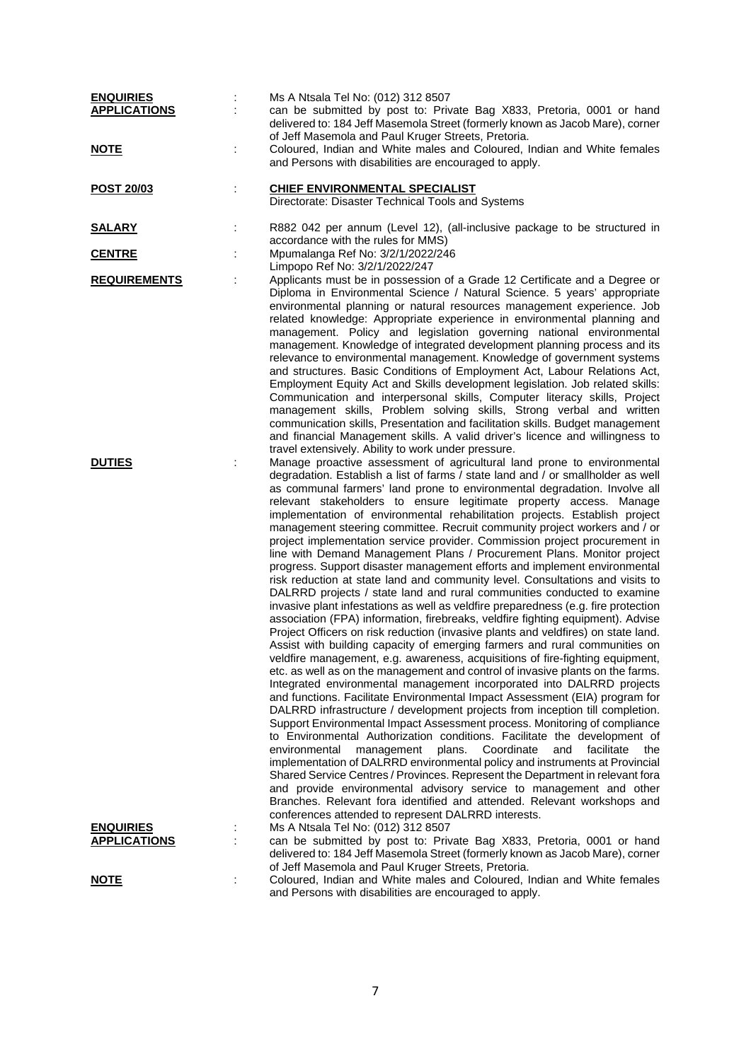| <b>ENQUIRIES</b><br><b>APPLICATIONS</b> |   | Ms A Ntsala Tel No: (012) 312 8507<br>can be submitted by post to: Private Bag X833, Pretoria, 0001 or hand<br>delivered to: 184 Jeff Masemola Street (formerly known as Jacob Mare), corner<br>of Jeff Masemola and Paul Kruger Streets, Pretoria.                                                                                                                                                                                                                                                                                                                                                                                                                                                                                                                                                                                                                                                                                                                                                                                                                                                                                                                                                                                                                                                                                                                                                                                                                                                                                                                                                                                                                                                                                                                                                                                                                                                                                                                                                                                                                                                                                                                                                                                                   |
|-----------------------------------------|---|-------------------------------------------------------------------------------------------------------------------------------------------------------------------------------------------------------------------------------------------------------------------------------------------------------------------------------------------------------------------------------------------------------------------------------------------------------------------------------------------------------------------------------------------------------------------------------------------------------------------------------------------------------------------------------------------------------------------------------------------------------------------------------------------------------------------------------------------------------------------------------------------------------------------------------------------------------------------------------------------------------------------------------------------------------------------------------------------------------------------------------------------------------------------------------------------------------------------------------------------------------------------------------------------------------------------------------------------------------------------------------------------------------------------------------------------------------------------------------------------------------------------------------------------------------------------------------------------------------------------------------------------------------------------------------------------------------------------------------------------------------------------------------------------------------------------------------------------------------------------------------------------------------------------------------------------------------------------------------------------------------------------------------------------------------------------------------------------------------------------------------------------------------------------------------------------------------------------------------------------------------|
| <u>NOTE</u>                             | t | Coloured, Indian and White males and Coloured, Indian and White females<br>and Persons with disabilities are encouraged to apply.                                                                                                                                                                                                                                                                                                                                                                                                                                                                                                                                                                                                                                                                                                                                                                                                                                                                                                                                                                                                                                                                                                                                                                                                                                                                                                                                                                                                                                                                                                                                                                                                                                                                                                                                                                                                                                                                                                                                                                                                                                                                                                                     |
| <u>POST 20/03</u>                       |   | <b>CHIEF ENVIRONMENTAL SPECIALIST</b><br>Directorate: Disaster Technical Tools and Systems                                                                                                                                                                                                                                                                                                                                                                                                                                                                                                                                                                                                                                                                                                                                                                                                                                                                                                                                                                                                                                                                                                                                                                                                                                                                                                                                                                                                                                                                                                                                                                                                                                                                                                                                                                                                                                                                                                                                                                                                                                                                                                                                                            |
| <b>SALARY</b>                           | ÷ | R882 042 per annum (Level 12), (all-inclusive package to be structured in<br>accordance with the rules for MMS)                                                                                                                                                                                                                                                                                                                                                                                                                                                                                                                                                                                                                                                                                                                                                                                                                                                                                                                                                                                                                                                                                                                                                                                                                                                                                                                                                                                                                                                                                                                                                                                                                                                                                                                                                                                                                                                                                                                                                                                                                                                                                                                                       |
| <b>CENTRE</b>                           |   | Mpumalanga Ref No: 3/2/1/2022/246<br>Limpopo Ref No: 3/2/1/2022/247                                                                                                                                                                                                                                                                                                                                                                                                                                                                                                                                                                                                                                                                                                                                                                                                                                                                                                                                                                                                                                                                                                                                                                                                                                                                                                                                                                                                                                                                                                                                                                                                                                                                                                                                                                                                                                                                                                                                                                                                                                                                                                                                                                                   |
| <b>REQUIREMENTS</b>                     |   | Applicants must be in possession of a Grade 12 Certificate and a Degree or<br>Diploma in Environmental Science / Natural Science. 5 years' appropriate<br>environmental planning or natural resources management experience. Job<br>related knowledge: Appropriate experience in environmental planning and<br>management. Policy and legislation governing national environmental<br>management. Knowledge of integrated development planning process and its<br>relevance to environmental management. Knowledge of government systems<br>and structures. Basic Conditions of Employment Act, Labour Relations Act,<br>Employment Equity Act and Skills development legislation. Job related skills:<br>Communication and interpersonal skills, Computer literacy skills, Project<br>management skills, Problem solving skills, Strong verbal and written<br>communication skills, Presentation and facilitation skills. Budget management<br>and financial Management skills. A valid driver's licence and willingness to<br>travel extensively. Ability to work under pressure.                                                                                                                                                                                                                                                                                                                                                                                                                                                                                                                                                                                                                                                                                                                                                                                                                                                                                                                                                                                                                                                                                                                                                                   |
| <b>DUTIES</b>                           |   | Manage proactive assessment of agricultural land prone to environmental<br>degradation. Establish a list of farms / state land and / or smallholder as well<br>as communal farmers' land prone to environmental degradation. Involve all<br>relevant stakeholders to ensure legitimate property access. Manage<br>implementation of environmental rehabilitation projects. Establish project<br>management steering committee. Recruit community project workers and / or<br>project implementation service provider. Commission project procurement in<br>line with Demand Management Plans / Procurement Plans. Monitor project<br>progress. Support disaster management efforts and implement environmental<br>risk reduction at state land and community level. Consultations and visits to<br>DALRRD projects / state land and rural communities conducted to examine<br>invasive plant infestations as well as veldfire preparedness (e.g. fire protection<br>association (FPA) information, firebreaks, veldfire fighting equipment). Advise<br>Project Officers on risk reduction (invasive plants and veldfires) on state land.<br>Assist with building capacity of emerging farmers and rural communities on<br>veldfire management, e.g. awareness, acquisitions of fire-fighting equipment,<br>etc. as well as on the management and control of invasive plants on the farms.<br>Integrated environmental management incorporated into DALRRD projects<br>and functions. Facilitate Environmental Impact Assessment (EIA) program for<br>DALRRD infrastructure / development projects from inception till completion.<br>Support Environmental Impact Assessment process. Monitoring of compliance<br>to Environmental Authorization conditions. Facilitate the development of<br>environmental<br>plans.<br>Coordinate<br>and<br>facilitate<br>management<br>the<br>implementation of DALRRD environmental policy and instruments at Provincial<br>Shared Service Centres / Provinces. Represent the Department in relevant fora<br>and provide environmental advisory service to management and other<br>Branches. Relevant fora identified and attended. Relevant workshops and<br>conferences attended to represent DALRRD interests. |
| <b>ENQUIRIES</b><br><b>APPLICATIONS</b> |   | Ms A Ntsala Tel No: (012) 312 8507<br>can be submitted by post to: Private Bag X833, Pretoria, 0001 or hand                                                                                                                                                                                                                                                                                                                                                                                                                                                                                                                                                                                                                                                                                                                                                                                                                                                                                                                                                                                                                                                                                                                                                                                                                                                                                                                                                                                                                                                                                                                                                                                                                                                                                                                                                                                                                                                                                                                                                                                                                                                                                                                                           |
|                                         |   | delivered to: 184 Jeff Masemola Street (formerly known as Jacob Mare), corner<br>of Jeff Masemola and Paul Kruger Streets, Pretoria.                                                                                                                                                                                                                                                                                                                                                                                                                                                                                                                                                                                                                                                                                                                                                                                                                                                                                                                                                                                                                                                                                                                                                                                                                                                                                                                                                                                                                                                                                                                                                                                                                                                                                                                                                                                                                                                                                                                                                                                                                                                                                                                  |
| <b>NOTE</b>                             |   | Coloured, Indian and White males and Coloured, Indian and White females<br>and Persons with disabilities are encouraged to apply.                                                                                                                                                                                                                                                                                                                                                                                                                                                                                                                                                                                                                                                                                                                                                                                                                                                                                                                                                                                                                                                                                                                                                                                                                                                                                                                                                                                                                                                                                                                                                                                                                                                                                                                                                                                                                                                                                                                                                                                                                                                                                                                     |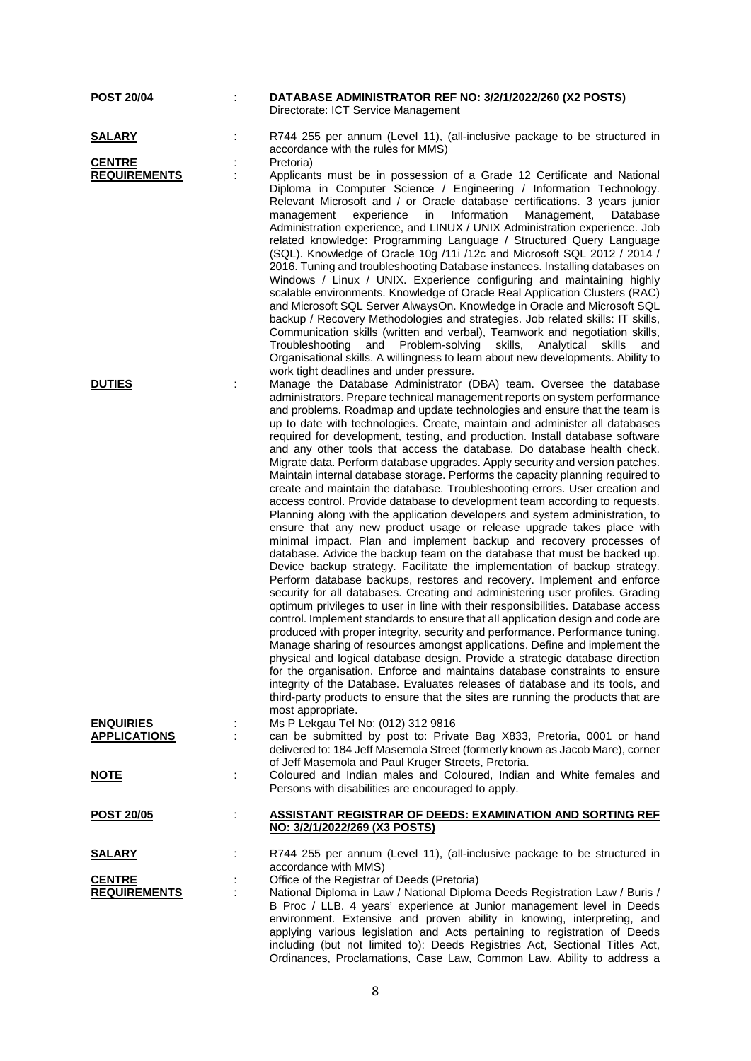| <b>POST 20/04</b>                       |   | DATABASE ADMINISTRATOR REF NO: 3/2/1/2022/260 (X2 POSTS)<br>Directorate: ICT Service Management                                                                                                                                                                                                                                                                                                                                                                                                                                                                                                                                                                                                                                                                                                                                                                                                                                                                                                                                                                                                                                                                                                                                                                                                                                                                                                                                                                                                                                                                                                                                                                                                                                                                                                                                                                                                                                                                                                                                   |
|-----------------------------------------|---|-----------------------------------------------------------------------------------------------------------------------------------------------------------------------------------------------------------------------------------------------------------------------------------------------------------------------------------------------------------------------------------------------------------------------------------------------------------------------------------------------------------------------------------------------------------------------------------------------------------------------------------------------------------------------------------------------------------------------------------------------------------------------------------------------------------------------------------------------------------------------------------------------------------------------------------------------------------------------------------------------------------------------------------------------------------------------------------------------------------------------------------------------------------------------------------------------------------------------------------------------------------------------------------------------------------------------------------------------------------------------------------------------------------------------------------------------------------------------------------------------------------------------------------------------------------------------------------------------------------------------------------------------------------------------------------------------------------------------------------------------------------------------------------------------------------------------------------------------------------------------------------------------------------------------------------------------------------------------------------------------------------------------------------|
|                                         |   |                                                                                                                                                                                                                                                                                                                                                                                                                                                                                                                                                                                                                                                                                                                                                                                                                                                                                                                                                                                                                                                                                                                                                                                                                                                                                                                                                                                                                                                                                                                                                                                                                                                                                                                                                                                                                                                                                                                                                                                                                                   |
| <b>SALARY</b>                           |   | R744 255 per annum (Level 11), (all-inclusive package to be structured in<br>accordance with the rules for MMS)                                                                                                                                                                                                                                                                                                                                                                                                                                                                                                                                                                                                                                                                                                                                                                                                                                                                                                                                                                                                                                                                                                                                                                                                                                                                                                                                                                                                                                                                                                                                                                                                                                                                                                                                                                                                                                                                                                                   |
| <b>CENTRE</b>                           |   | Pretoria)                                                                                                                                                                                                                                                                                                                                                                                                                                                                                                                                                                                                                                                                                                                                                                                                                                                                                                                                                                                                                                                                                                                                                                                                                                                                                                                                                                                                                                                                                                                                                                                                                                                                                                                                                                                                                                                                                                                                                                                                                         |
| <b>REQUIREMENTS</b>                     |   | Applicants must be in possession of a Grade 12 Certificate and National<br>Diploma in Computer Science / Engineering / Information Technology.<br>Relevant Microsoft and / or Oracle database certifications. 3 years junior<br>experience<br>in<br>Information<br>Management,<br>management<br>Database<br>Administration experience, and LINUX / UNIX Administration experience. Job<br>related knowledge: Programming Language / Structured Query Language<br>(SQL). Knowledge of Oracle 10g /11i /12c and Microsoft SQL 2012 / 2014 /<br>2016. Tuning and troubleshooting Database instances. Installing databases on<br>Windows / Linux / UNIX. Experience configuring and maintaining highly                                                                                                                                                                                                                                                                                                                                                                                                                                                                                                                                                                                                                                                                                                                                                                                                                                                                                                                                                                                                                                                                                                                                                                                                                                                                                                                                |
|                                         |   | scalable environments. Knowledge of Oracle Real Application Clusters (RAC)<br>and Microsoft SQL Server AlwaysOn. Knowledge in Oracle and Microsoft SQL<br>backup / Recovery Methodologies and strategies. Job related skills: IT skills,<br>Communication skills (written and verbal), Teamwork and negotiation skills,<br>Troubleshooting and Problem-solving skills,<br>Analytical<br>skills<br>and<br>Organisational skills. A willingness to learn about new developments. Ability to<br>work tight deadlines and under pressure.                                                                                                                                                                                                                                                                                                                                                                                                                                                                                                                                                                                                                                                                                                                                                                                                                                                                                                                                                                                                                                                                                                                                                                                                                                                                                                                                                                                                                                                                                             |
| <b>DUTIES</b>                           |   | Manage the Database Administrator (DBA) team. Oversee the database<br>administrators. Prepare technical management reports on system performance<br>and problems. Roadmap and update technologies and ensure that the team is<br>up to date with technologies. Create, maintain and administer all databases<br>required for development, testing, and production. Install database software<br>and any other tools that access the database. Do database health check.<br>Migrate data. Perform database upgrades. Apply security and version patches.<br>Maintain internal database storage. Performs the capacity planning required to<br>create and maintain the database. Troubleshooting errors. User creation and<br>access control. Provide database to development team according to requests.<br>Planning along with the application developers and system administration, to<br>ensure that any new product usage or release upgrade takes place with<br>minimal impact. Plan and implement backup and recovery processes of<br>database. Advice the backup team on the database that must be backed up.<br>Device backup strategy. Facilitate the implementation of backup strategy.<br>Perform database backups, restores and recovery. Implement and enforce<br>security for all databases. Creating and administering user profiles. Grading<br>optimum privileges to user in line with their responsibilities. Database access<br>control. Implement standards to ensure that all application design and code are<br>produced with proper integrity, security and performance. Performance tuning.<br>Manage sharing of resources amongst applications. Define and implement the<br>physical and logical database design. Provide a strategic database direction<br>for the organisation. Enforce and maintains database constraints to ensure<br>integrity of the Database. Evaluates releases of database and its tools, and<br>third-party products to ensure that the sites are running the products that are |
|                                         |   | most appropriate.                                                                                                                                                                                                                                                                                                                                                                                                                                                                                                                                                                                                                                                                                                                                                                                                                                                                                                                                                                                                                                                                                                                                                                                                                                                                                                                                                                                                                                                                                                                                                                                                                                                                                                                                                                                                                                                                                                                                                                                                                 |
| <b>ENQUIRIES</b><br><b>APPLICATIONS</b> |   | Ms P Lekgau Tel No: (012) 312 9816<br>can be submitted by post to: Private Bag X833, Pretoria, 0001 or hand<br>delivered to: 184 Jeff Masemola Street (formerly known as Jacob Mare), corner<br>of Jeff Masemola and Paul Kruger Streets, Pretoria.                                                                                                                                                                                                                                                                                                                                                                                                                                                                                                                                                                                                                                                                                                                                                                                                                                                                                                                                                                                                                                                                                                                                                                                                                                                                                                                                                                                                                                                                                                                                                                                                                                                                                                                                                                               |
| <b>NOTE</b>                             |   | Coloured and Indian males and Coloured, Indian and White females and<br>Persons with disabilities are encouraged to apply.                                                                                                                                                                                                                                                                                                                                                                                                                                                                                                                                                                                                                                                                                                                                                                                                                                                                                                                                                                                                                                                                                                                                                                                                                                                                                                                                                                                                                                                                                                                                                                                                                                                                                                                                                                                                                                                                                                        |
| <u>POST 20/05</u>                       |   | <b>ASSISTANT REGISTRAR OF DEEDS: EXAMINATION AND SORTING REF</b><br>NO: 3/2/1/2022/269 (X3 POSTS)                                                                                                                                                                                                                                                                                                                                                                                                                                                                                                                                                                                                                                                                                                                                                                                                                                                                                                                                                                                                                                                                                                                                                                                                                                                                                                                                                                                                                                                                                                                                                                                                                                                                                                                                                                                                                                                                                                                                 |
| <b>SALARY</b>                           |   | R744 255 per annum (Level 11), (all-inclusive package to be structured in<br>accordance with MMS)                                                                                                                                                                                                                                                                                                                                                                                                                                                                                                                                                                                                                                                                                                                                                                                                                                                                                                                                                                                                                                                                                                                                                                                                                                                                                                                                                                                                                                                                                                                                                                                                                                                                                                                                                                                                                                                                                                                                 |
| <b>CENTRE</b><br><b>REQUIREMENTS</b>    | t | Office of the Registrar of Deeds (Pretoria)<br>National Diploma in Law / National Diploma Deeds Registration Law / Buris /<br>B Proc / LLB. 4 years' experience at Junior management level in Deeds<br>environment. Extensive and proven ability in knowing, interpreting, and<br>applying various legislation and Acts pertaining to registration of Deeds<br>including (but not limited to): Deeds Registries Act, Sectional Titles Act,<br>Ordinances, Proclamations, Case Law, Common Law. Ability to address a                                                                                                                                                                                                                                                                                                                                                                                                                                                                                                                                                                                                                                                                                                                                                                                                                                                                                                                                                                                                                                                                                                                                                                                                                                                                                                                                                                                                                                                                                                               |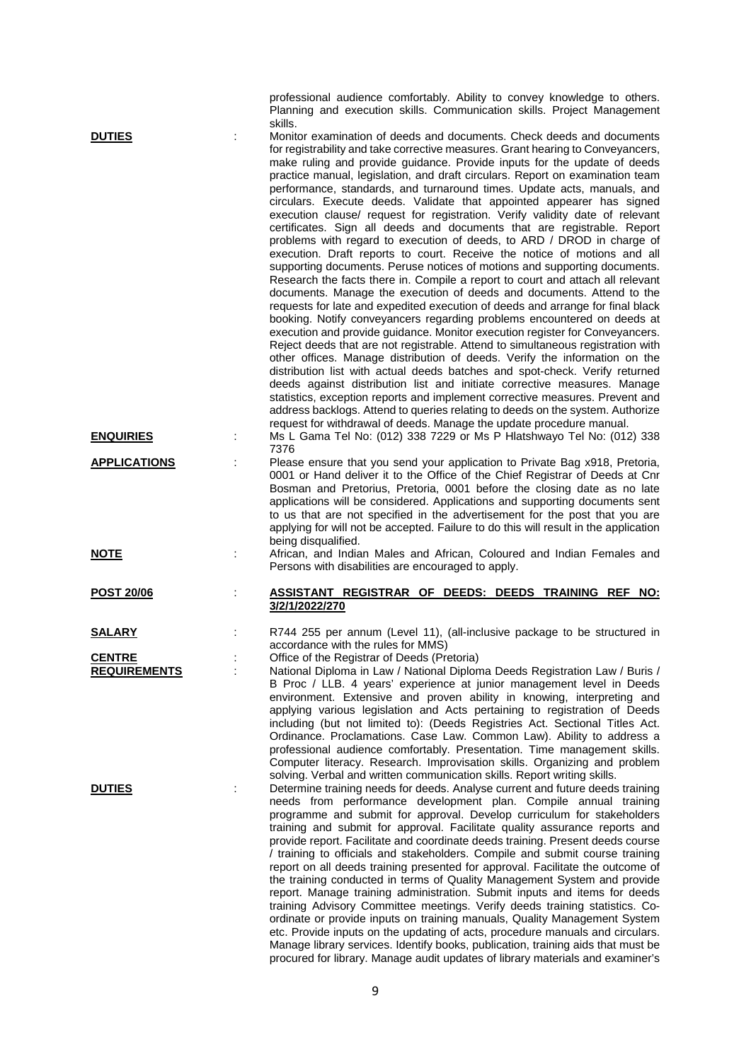|                                      |    | professional audience comfortably. Ability to convey knowledge to others.<br>Planning and execution skills. Communication skills. Project Management                                                                                                                                                                                                                                                                                                                                                                                                                                                                                                                                                                                                                                                                                                                                                                                                                                                                                                                                                                                                                                                                                                                                                                                                                                                                                                                                                                                                                                                                                                                                                                                                                                                                                                             |
|--------------------------------------|----|------------------------------------------------------------------------------------------------------------------------------------------------------------------------------------------------------------------------------------------------------------------------------------------------------------------------------------------------------------------------------------------------------------------------------------------------------------------------------------------------------------------------------------------------------------------------------------------------------------------------------------------------------------------------------------------------------------------------------------------------------------------------------------------------------------------------------------------------------------------------------------------------------------------------------------------------------------------------------------------------------------------------------------------------------------------------------------------------------------------------------------------------------------------------------------------------------------------------------------------------------------------------------------------------------------------------------------------------------------------------------------------------------------------------------------------------------------------------------------------------------------------------------------------------------------------------------------------------------------------------------------------------------------------------------------------------------------------------------------------------------------------------------------------------------------------------------------------------------------------|
| <b>DUTIES</b>                        |    | skills.<br>Monitor examination of deeds and documents. Check deeds and documents<br>for registrability and take corrective measures. Grant hearing to Conveyancers,<br>make ruling and provide guidance. Provide inputs for the update of deeds<br>practice manual, legislation, and draft circulars. Report on examination team<br>performance, standards, and turnaround times. Update acts, manuals, and<br>circulars. Execute deeds. Validate that appointed appearer has signed<br>execution clause/ request for registration. Verify validity date of relevant<br>certificates. Sign all deeds and documents that are registrable. Report<br>problems with regard to execution of deeds, to ARD / DROD in charge of<br>execution. Draft reports to court. Receive the notice of motions and all<br>supporting documents. Peruse notices of motions and supporting documents.<br>Research the facts there in. Compile a report to court and attach all relevant<br>documents. Manage the execution of deeds and documents. Attend to the<br>requests for late and expedited execution of deeds and arrange for final black<br>booking. Notify conveyancers regarding problems encountered on deeds at<br>execution and provide guidance. Monitor execution register for Conveyancers.<br>Reject deeds that are not registrable. Attend to simultaneous registration with<br>other offices. Manage distribution of deeds. Verify the information on the<br>distribution list with actual deeds batches and spot-check. Verify returned<br>deeds against distribution list and initiate corrective measures. Manage<br>statistics, exception reports and implement corrective measures. Prevent and<br>address backlogs. Attend to queries relating to deeds on the system. Authorize<br>request for withdrawal of deeds. Manage the update procedure manual. |
| <b>ENQUIRIES</b>                     |    | Ms L Gama Tel No: (012) 338 7229 or Ms P Hlatshwayo Tel No: (012) 338<br>7376                                                                                                                                                                                                                                                                                                                                                                                                                                                                                                                                                                                                                                                                                                                                                                                                                                                                                                                                                                                                                                                                                                                                                                                                                                                                                                                                                                                                                                                                                                                                                                                                                                                                                                                                                                                    |
| <b>APPLICATIONS</b>                  |    | Please ensure that you send your application to Private Bag x918, Pretoria,<br>0001 or Hand deliver it to the Office of the Chief Registrar of Deeds at Cnr<br>Bosman and Pretorius, Pretoria, 0001 before the closing date as no late<br>applications will be considered. Applications and supporting documents sent<br>to us that are not specified in the advertisement for the post that you are<br>applying for will not be accepted. Failure to do this will result in the application<br>being disqualified.                                                                                                                                                                                                                                                                                                                                                                                                                                                                                                                                                                                                                                                                                                                                                                                                                                                                                                                                                                                                                                                                                                                                                                                                                                                                                                                                              |
| <u>NOTE</u>                          | İ. | African, and Indian Males and African, Coloured and Indian Females and<br>Persons with disabilities are encouraged to apply.                                                                                                                                                                                                                                                                                                                                                                                                                                                                                                                                                                                                                                                                                                                                                                                                                                                                                                                                                                                                                                                                                                                                                                                                                                                                                                                                                                                                                                                                                                                                                                                                                                                                                                                                     |
| <b>POST 20/06</b>                    |    | ASSISTANT REGISTRAR OF DEEDS: DEEDS TRAINING REF NO:<br>3/2/1/2022/270                                                                                                                                                                                                                                                                                                                                                                                                                                                                                                                                                                                                                                                                                                                                                                                                                                                                                                                                                                                                                                                                                                                                                                                                                                                                                                                                                                                                                                                                                                                                                                                                                                                                                                                                                                                           |
| <b>SALARY</b>                        |    | R744 255 per annum (Level 11), (all-inclusive package to be structured in<br>accordance with the rules for MMS)                                                                                                                                                                                                                                                                                                                                                                                                                                                                                                                                                                                                                                                                                                                                                                                                                                                                                                                                                                                                                                                                                                                                                                                                                                                                                                                                                                                                                                                                                                                                                                                                                                                                                                                                                  |
| <b>CENTRE</b><br><b>REQUIREMENTS</b> |    | Office of the Registrar of Deeds (Pretoria)<br>National Diploma in Law / National Diploma Deeds Registration Law / Buris /<br>B Proc / LLB. 4 years' experience at junior management level in Deeds<br>environment. Extensive and proven ability in knowing, interpreting and<br>applying various legislation and Acts pertaining to registration of Deeds<br>including (but not limited to): (Deeds Registries Act. Sectional Titles Act.<br>Ordinance. Proclamations. Case Law. Common Law). Ability to address a<br>professional audience comfortably. Presentation. Time management skills.<br>Computer literacy. Research. Improvisation skills. Organizing and problem<br>solving. Verbal and written communication skills. Report writing skills.                                                                                                                                                                                                                                                                                                                                                                                                                                                                                                                                                                                                                                                                                                                                                                                                                                                                                                                                                                                                                                                                                                         |
| <b>DUTIES</b>                        |    | Determine training needs for deeds. Analyse current and future deeds training<br>needs from performance development plan. Compile annual training<br>programme and submit for approval. Develop curriculum for stakeholders<br>training and submit for approval. Facilitate quality assurance reports and<br>provide report. Facilitate and coordinate deeds training. Present deeds course<br>/ training to officials and stakeholders. Compile and submit course training<br>report on all deeds training presented for approval. Facilitate the outcome of<br>the training conducted in terms of Quality Management System and provide<br>report. Manage training administration. Submit inputs and items for deeds<br>training Advisory Committee meetings. Verify deeds training statistics. Co-<br>ordinate or provide inputs on training manuals, Quality Management System<br>etc. Provide inputs on the updating of acts, procedure manuals and circulars.<br>Manage library services. Identify books, publication, training aids that must be                                                                                                                                                                                                                                                                                                                                                                                                                                                                                                                                                                                                                                                                                                                                                                                                          |

procured for library. Manage audit updates of library materials and examiner's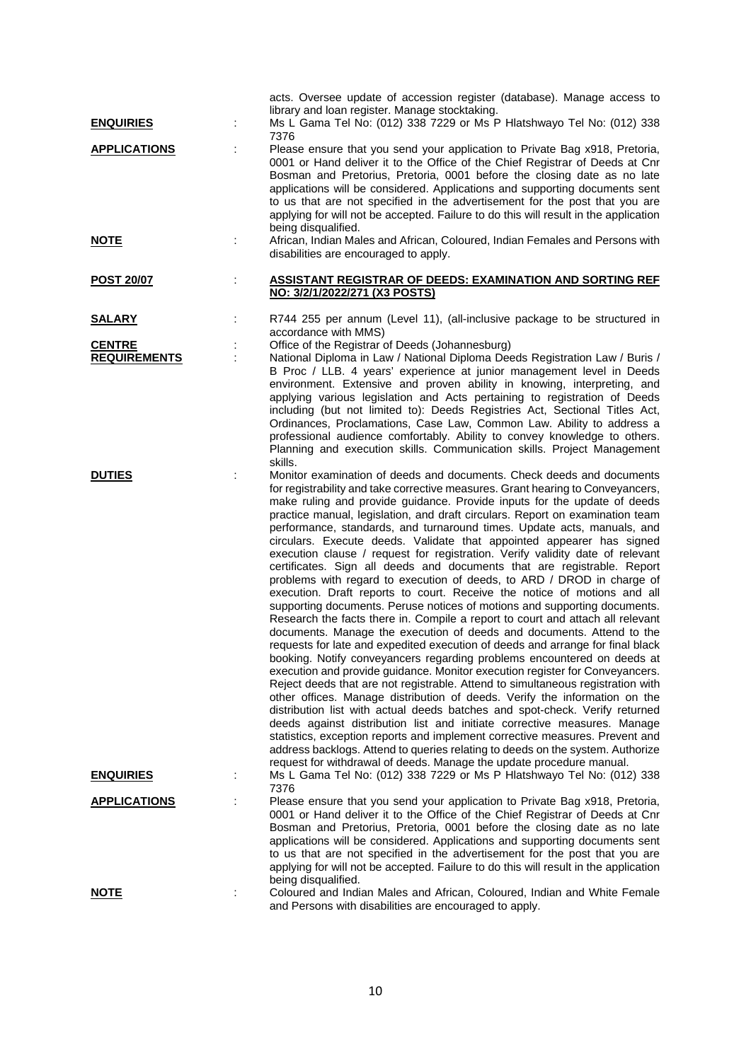| <b>ENQUIRIES</b>                     |   | acts. Oversee update of accession register (database). Manage access to<br>library and loan register. Manage stocktaking.<br>Ms L Gama Tel No: (012) 338 7229 or Ms P Hlatshwayo Tel No: (012) 338                                                                                                                                                                                                                                                                                                                                                                                                                                                                                                                                                                                                                                                                                                                                                                                                                                                                                                                                                                                                                                                                                                                                                                                                                                                                                                                                                                                                                                                                                                                                                                                                                                                     |
|--------------------------------------|---|--------------------------------------------------------------------------------------------------------------------------------------------------------------------------------------------------------------------------------------------------------------------------------------------------------------------------------------------------------------------------------------------------------------------------------------------------------------------------------------------------------------------------------------------------------------------------------------------------------------------------------------------------------------------------------------------------------------------------------------------------------------------------------------------------------------------------------------------------------------------------------------------------------------------------------------------------------------------------------------------------------------------------------------------------------------------------------------------------------------------------------------------------------------------------------------------------------------------------------------------------------------------------------------------------------------------------------------------------------------------------------------------------------------------------------------------------------------------------------------------------------------------------------------------------------------------------------------------------------------------------------------------------------------------------------------------------------------------------------------------------------------------------------------------------------------------------------------------------------|
| <b>APPLICATIONS</b>                  |   | 7376<br>Please ensure that you send your application to Private Bag x918, Pretoria,<br>0001 or Hand deliver it to the Office of the Chief Registrar of Deeds at Cnr<br>Bosman and Pretorius, Pretoria, 0001 before the closing date as no late<br>applications will be considered. Applications and supporting documents sent<br>to us that are not specified in the advertisement for the post that you are<br>applying for will not be accepted. Failure to do this will result in the application<br>being disqualified.                                                                                                                                                                                                                                                                                                                                                                                                                                                                                                                                                                                                                                                                                                                                                                                                                                                                                                                                                                                                                                                                                                                                                                                                                                                                                                                            |
| <u>NOTE</u>                          | ÷ | African, Indian Males and African, Coloured, Indian Females and Persons with<br>disabilities are encouraged to apply.                                                                                                                                                                                                                                                                                                                                                                                                                                                                                                                                                                                                                                                                                                                                                                                                                                                                                                                                                                                                                                                                                                                                                                                                                                                                                                                                                                                                                                                                                                                                                                                                                                                                                                                                  |
| <b>POST 20/07</b>                    | t | <b>ASSISTANT REGISTRAR OF DEEDS: EXAMINATION AND SORTING REF</b><br>NO: 3/2/1/2022/271 (X3 POSTS)                                                                                                                                                                                                                                                                                                                                                                                                                                                                                                                                                                                                                                                                                                                                                                                                                                                                                                                                                                                                                                                                                                                                                                                                                                                                                                                                                                                                                                                                                                                                                                                                                                                                                                                                                      |
| <u>SALARY</u>                        |   | R744 255 per annum (Level 11), (all-inclusive package to be structured in<br>accordance with MMS)                                                                                                                                                                                                                                                                                                                                                                                                                                                                                                                                                                                                                                                                                                                                                                                                                                                                                                                                                                                                                                                                                                                                                                                                                                                                                                                                                                                                                                                                                                                                                                                                                                                                                                                                                      |
| <b>CENTRE</b><br><b>REQUIREMENTS</b> |   | Office of the Registrar of Deeds (Johannesburg)<br>National Diploma in Law / National Diploma Deeds Registration Law / Buris /<br>B Proc / LLB. 4 years' experience at junior management level in Deeds<br>environment. Extensive and proven ability in knowing, interpreting, and<br>applying various legislation and Acts pertaining to registration of Deeds<br>including (but not limited to): Deeds Registries Act, Sectional Titles Act,<br>Ordinances, Proclamations, Case Law, Common Law. Ability to address a<br>professional audience comfortably. Ability to convey knowledge to others.<br>Planning and execution skills. Communication skills. Project Management<br>skills.                                                                                                                                                                                                                                                                                                                                                                                                                                                                                                                                                                                                                                                                                                                                                                                                                                                                                                                                                                                                                                                                                                                                                             |
| <b>DUTIES</b>                        |   | Monitor examination of deeds and documents. Check deeds and documents<br>for registrability and take corrective measures. Grant hearing to Conveyancers,<br>make ruling and provide guidance. Provide inputs for the update of deeds<br>practice manual, legislation, and draft circulars. Report on examination team<br>performance, standards, and turnaround times. Update acts, manuals, and<br>circulars. Execute deeds. Validate that appointed appearer has signed<br>execution clause / request for registration. Verify validity date of relevant<br>certificates. Sign all deeds and documents that are registrable. Report<br>problems with regard to execution of deeds, to ARD / DROD in charge of<br>execution. Draft reports to court. Receive the notice of motions and all<br>supporting documents. Peruse notices of motions and supporting documents.<br>Research the facts there in. Compile a report to court and attach all relevant<br>documents. Manage the execution of deeds and documents. Attend to the<br>requests for late and expedited execution of deeds and arrange for final black<br>booking. Notify conveyancers regarding problems encountered on deeds at<br>execution and provide guidance. Monitor execution register for Conveyancers.<br>Reject deeds that are not registrable. Attend to simultaneous registration with<br>other offices. Manage distribution of deeds. Verify the information on the<br>distribution list with actual deeds batches and spot-check. Verify returned<br>deeds against distribution list and initiate corrective measures. Manage<br>statistics, exception reports and implement corrective measures. Prevent and<br>address backlogs. Attend to queries relating to deeds on the system. Authorize<br>request for withdrawal of deeds. Manage the update procedure manual. |
| <u>ENQUIRIES</u>                     | ÷ | Ms L Gama Tel No: (012) 338 7229 or Ms P Hlatshwayo Tel No: (012) 338<br>7376                                                                                                                                                                                                                                                                                                                                                                                                                                                                                                                                                                                                                                                                                                                                                                                                                                                                                                                                                                                                                                                                                                                                                                                                                                                                                                                                                                                                                                                                                                                                                                                                                                                                                                                                                                          |
| <b>APPLICATIONS</b>                  |   | Please ensure that you send your application to Private Bag x918, Pretoria,<br>0001 or Hand deliver it to the Office of the Chief Registrar of Deeds at Cnr<br>Bosman and Pretorius, Pretoria, 0001 before the closing date as no late<br>applications will be considered. Applications and supporting documents sent<br>to us that are not specified in the advertisement for the post that you are<br>applying for will not be accepted. Failure to do this will result in the application<br>being disqualified.                                                                                                                                                                                                                                                                                                                                                                                                                                                                                                                                                                                                                                                                                                                                                                                                                                                                                                                                                                                                                                                                                                                                                                                                                                                                                                                                    |
| <b>NOTE</b>                          | ÷ | Coloured and Indian Males and African, Coloured, Indian and White Female<br>and Persons with disabilities are encouraged to apply.                                                                                                                                                                                                                                                                                                                                                                                                                                                                                                                                                                                                                                                                                                                                                                                                                                                                                                                                                                                                                                                                                                                                                                                                                                                                                                                                                                                                                                                                                                                                                                                                                                                                                                                     |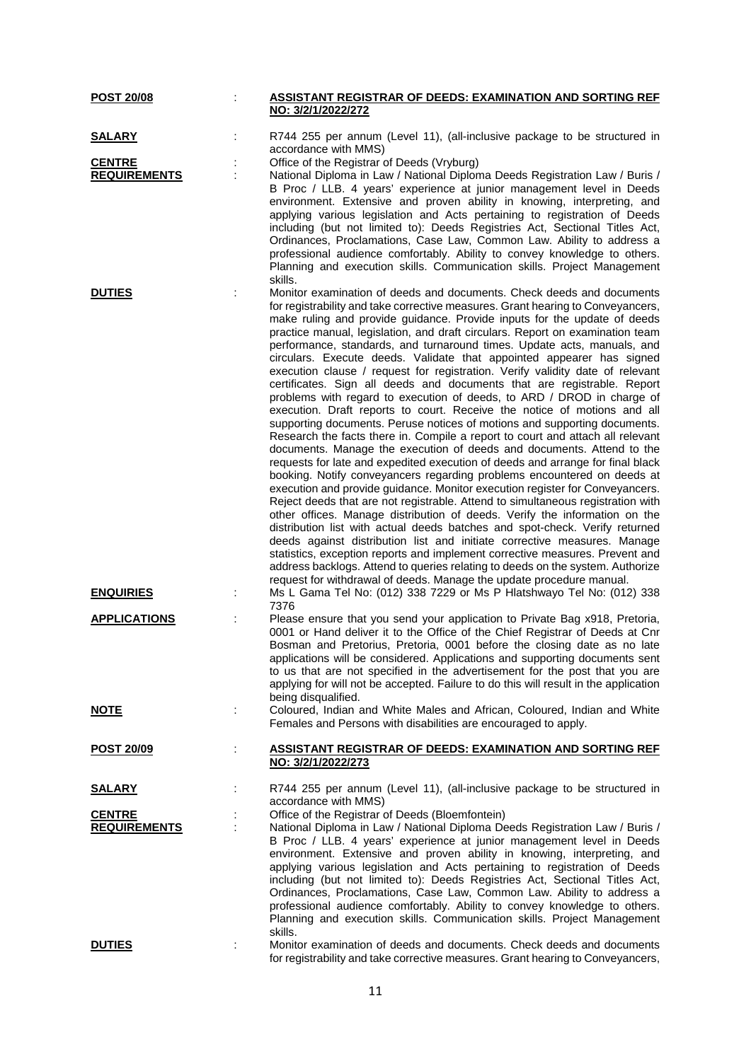| <b>POST 20/08</b>   | ASSISTANT REGISTRAR OF DEEDS: EXAMINATION AND SORTING REF                                                                                                                                                                                                                                                                                                                                                                                                                                                                                                                                                                                                                                                                                                                                                                                                                                                                                                                                                                                                                                                                                                                                                                                                                                                                                                                                                                                                                                                                                                                                                                                                                                                                                                                     |
|---------------------|-------------------------------------------------------------------------------------------------------------------------------------------------------------------------------------------------------------------------------------------------------------------------------------------------------------------------------------------------------------------------------------------------------------------------------------------------------------------------------------------------------------------------------------------------------------------------------------------------------------------------------------------------------------------------------------------------------------------------------------------------------------------------------------------------------------------------------------------------------------------------------------------------------------------------------------------------------------------------------------------------------------------------------------------------------------------------------------------------------------------------------------------------------------------------------------------------------------------------------------------------------------------------------------------------------------------------------------------------------------------------------------------------------------------------------------------------------------------------------------------------------------------------------------------------------------------------------------------------------------------------------------------------------------------------------------------------------------------------------------------------------------------------------|
|                     | NO: 3/2/1/2022/272                                                                                                                                                                                                                                                                                                                                                                                                                                                                                                                                                                                                                                                                                                                                                                                                                                                                                                                                                                                                                                                                                                                                                                                                                                                                                                                                                                                                                                                                                                                                                                                                                                                                                                                                                            |
| <b>SALARY</b>       | R744 255 per annum (Level 11), (all-inclusive package to be structured in<br>accordance with MMS)                                                                                                                                                                                                                                                                                                                                                                                                                                                                                                                                                                                                                                                                                                                                                                                                                                                                                                                                                                                                                                                                                                                                                                                                                                                                                                                                                                                                                                                                                                                                                                                                                                                                             |
| <b>CENTRE</b>       | Office of the Registrar of Deeds (Vryburg)                                                                                                                                                                                                                                                                                                                                                                                                                                                                                                                                                                                                                                                                                                                                                                                                                                                                                                                                                                                                                                                                                                                                                                                                                                                                                                                                                                                                                                                                                                                                                                                                                                                                                                                                    |
| <b>REQUIREMENTS</b> | National Diploma in Law / National Diploma Deeds Registration Law / Buris /<br>B Proc / LLB. 4 years' experience at junior management level in Deeds<br>environment. Extensive and proven ability in knowing, interpreting, and<br>applying various legislation and Acts pertaining to registration of Deeds<br>including (but not limited to): Deeds Registries Act, Sectional Titles Act,<br>Ordinances, Proclamations, Case Law, Common Law. Ability to address a<br>professional audience comfortably. Ability to convey knowledge to others.<br>Planning and execution skills. Communication skills. Project Management<br>skills.                                                                                                                                                                                                                                                                                                                                                                                                                                                                                                                                                                                                                                                                                                                                                                                                                                                                                                                                                                                                                                                                                                                                       |
| <b>DUTIES</b>       | Monitor examination of deeds and documents. Check deeds and documents                                                                                                                                                                                                                                                                                                                                                                                                                                                                                                                                                                                                                                                                                                                                                                                                                                                                                                                                                                                                                                                                                                                                                                                                                                                                                                                                                                                                                                                                                                                                                                                                                                                                                                         |
|                     | for registrability and take corrective measures. Grant hearing to Conveyancers,<br>make ruling and provide guidance. Provide inputs for the update of deeds<br>practice manual, legislation, and draft circulars. Report on examination team<br>performance, standards, and turnaround times. Update acts, manuals, and<br>circulars. Execute deeds. Validate that appointed appearer has signed<br>execution clause / request for registration. Verify validity date of relevant<br>certificates. Sign all deeds and documents that are registrable. Report<br>problems with regard to execution of deeds, to ARD / DROD in charge of<br>execution. Draft reports to court. Receive the notice of motions and all<br>supporting documents. Peruse notices of motions and supporting documents.<br>Research the facts there in. Compile a report to court and attach all relevant<br>documents. Manage the execution of deeds and documents. Attend to the<br>requests for late and expedited execution of deeds and arrange for final black<br>booking. Notify conveyancers regarding problems encountered on deeds at<br>execution and provide guidance. Monitor execution register for Conveyancers.<br>Reject deeds that are not registrable. Attend to simultaneous registration with<br>other offices. Manage distribution of deeds. Verify the information on the<br>distribution list with actual deeds batches and spot-check. Verify returned<br>deeds against distribution list and initiate corrective measures. Manage<br>statistics, exception reports and implement corrective measures. Prevent and<br>address backlogs. Attend to queries relating to deeds on the system. Authorize<br>request for withdrawal of deeds. Manage the update procedure manual. |
| <b>ENQUIRIES</b>    | Ms L Gama Tel No: (012) 338 7229 or Ms P Hlatshwayo Tel No: (012) 338<br>7376                                                                                                                                                                                                                                                                                                                                                                                                                                                                                                                                                                                                                                                                                                                                                                                                                                                                                                                                                                                                                                                                                                                                                                                                                                                                                                                                                                                                                                                                                                                                                                                                                                                                                                 |
| <b>APPLICATIONS</b> | Please ensure that you send your application to Private Bag x918, Pretoria,<br>0001 or Hand deliver it to the Office of the Chief Registrar of Deeds at Cnr<br>Bosman and Pretorius, Pretoria, 0001 before the closing date as no late<br>applications will be considered. Applications and supporting documents sent<br>to us that are not specified in the advertisement for the post that you are<br>applying for will not be accepted. Failure to do this will result in the application<br>being disqualified.                                                                                                                                                                                                                                                                                                                                                                                                                                                                                                                                                                                                                                                                                                                                                                                                                                                                                                                                                                                                                                                                                                                                                                                                                                                           |
| <u>NOTE</u>         | Coloured, Indian and White Males and African, Coloured, Indian and White<br>Females and Persons with disabilities are encouraged to apply.                                                                                                                                                                                                                                                                                                                                                                                                                                                                                                                                                                                                                                                                                                                                                                                                                                                                                                                                                                                                                                                                                                                                                                                                                                                                                                                                                                                                                                                                                                                                                                                                                                    |
| <u>POST 20/09</u>   | <b>ASSISTANT REGISTRAR OF DEEDS: EXAMINATION AND SORTING REF</b><br>NO: 3/2/1/2022/273                                                                                                                                                                                                                                                                                                                                                                                                                                                                                                                                                                                                                                                                                                                                                                                                                                                                                                                                                                                                                                                                                                                                                                                                                                                                                                                                                                                                                                                                                                                                                                                                                                                                                        |
| <b>SALARY</b>       | R744 255 per annum (Level 11), (all-inclusive package to be structured in<br>accordance with MMS)                                                                                                                                                                                                                                                                                                                                                                                                                                                                                                                                                                                                                                                                                                                                                                                                                                                                                                                                                                                                                                                                                                                                                                                                                                                                                                                                                                                                                                                                                                                                                                                                                                                                             |
| <b>CENTRE</b>       | Office of the Registrar of Deeds (Bloemfontein)                                                                                                                                                                                                                                                                                                                                                                                                                                                                                                                                                                                                                                                                                                                                                                                                                                                                                                                                                                                                                                                                                                                                                                                                                                                                                                                                                                                                                                                                                                                                                                                                                                                                                                                               |
| <b>REQUIREMENTS</b> | National Diploma in Law / National Diploma Deeds Registration Law / Buris /<br>B Proc / LLB. 4 years' experience at junior management level in Deeds<br>environment. Extensive and proven ability in knowing, interpreting, and<br>applying various legislation and Acts pertaining to registration of Deeds<br>including (but not limited to): Deeds Registries Act, Sectional Titles Act,<br>Ordinances, Proclamations, Case Law, Common Law. Ability to address a<br>professional audience comfortably. Ability to convey knowledge to others.<br>Planning and execution skills. Communication skills. Project Management<br>skills.                                                                                                                                                                                                                                                                                                                                                                                                                                                                                                                                                                                                                                                                                                                                                                                                                                                                                                                                                                                                                                                                                                                                       |
| <b>DUTIES</b>       | Monitor examination of deeds and documents. Check deeds and documents<br>for registrability and take corrective measures. Grant hearing to Conveyancers,                                                                                                                                                                                                                                                                                                                                                                                                                                                                                                                                                                                                                                                                                                                                                                                                                                                                                                                                                                                                                                                                                                                                                                                                                                                                                                                                                                                                                                                                                                                                                                                                                      |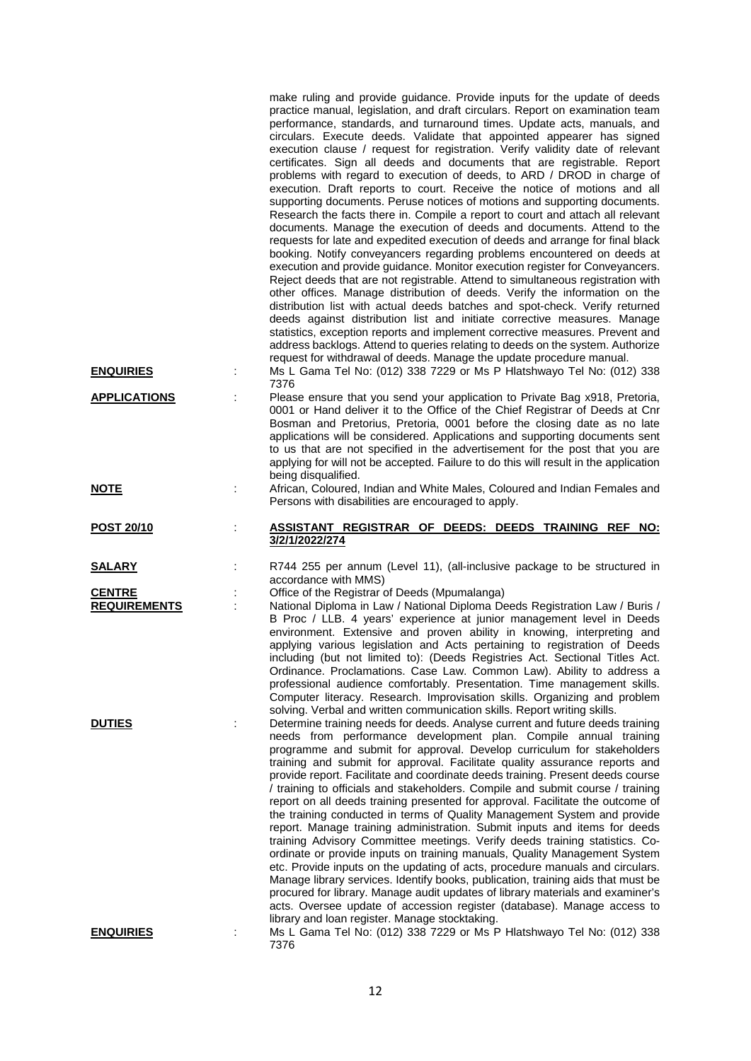|                     |   | make ruling and provide guidance. Provide inputs for the update of deeds<br>practice manual, legislation, and draft circulars. Report on examination team<br>performance, standards, and turnaround times. Update acts, manuals, and<br>circulars. Execute deeds. Validate that appointed appearer has signed<br>execution clause / request for registration. Verify validity date of relevant<br>certificates. Sign all deeds and documents that are registrable. Report<br>problems with regard to execution of deeds, to ARD / DROD in charge of<br>execution. Draft reports to court. Receive the notice of motions and all<br>supporting documents. Peruse notices of motions and supporting documents.<br>Research the facts there in. Compile a report to court and attach all relevant<br>documents. Manage the execution of deeds and documents. Attend to the<br>requests for late and expedited execution of deeds and arrange for final black<br>booking. Notify conveyancers regarding problems encountered on deeds at<br>execution and provide guidance. Monitor execution register for Conveyancers.<br>Reject deeds that are not registrable. Attend to simultaneous registration with<br>other offices. Manage distribution of deeds. Verify the information on the<br>distribution list with actual deeds batches and spot-check. Verify returned<br>deeds against distribution list and initiate corrective measures. Manage<br>statistics, exception reports and implement corrective measures. Prevent and<br>address backlogs. Attend to queries relating to deeds on the system. Authorize<br>request for withdrawal of deeds. Manage the update procedure manual. |
|---------------------|---|--------------------------------------------------------------------------------------------------------------------------------------------------------------------------------------------------------------------------------------------------------------------------------------------------------------------------------------------------------------------------------------------------------------------------------------------------------------------------------------------------------------------------------------------------------------------------------------------------------------------------------------------------------------------------------------------------------------------------------------------------------------------------------------------------------------------------------------------------------------------------------------------------------------------------------------------------------------------------------------------------------------------------------------------------------------------------------------------------------------------------------------------------------------------------------------------------------------------------------------------------------------------------------------------------------------------------------------------------------------------------------------------------------------------------------------------------------------------------------------------------------------------------------------------------------------------------------------------------------------------------------------------------------------------------------------------|
| <b>ENQUIRIES</b>    | ÷ | Ms L Gama Tel No: (012) 338 7229 or Ms P Hlatshwayo Tel No: (012) 338<br>7376                                                                                                                                                                                                                                                                                                                                                                                                                                                                                                                                                                                                                                                                                                                                                                                                                                                                                                                                                                                                                                                                                                                                                                                                                                                                                                                                                                                                                                                                                                                                                                                                              |
| <b>APPLICATIONS</b> |   | Please ensure that you send your application to Private Bag x918, Pretoria,<br>0001 or Hand deliver it to the Office of the Chief Registrar of Deeds at Cnr<br>Bosman and Pretorius, Pretoria, 0001 before the closing date as no late<br>applications will be considered. Applications and supporting documents sent<br>to us that are not specified in the advertisement for the post that you are<br>applying for will not be accepted. Failure to do this will result in the application<br>being disqualified.                                                                                                                                                                                                                                                                                                                                                                                                                                                                                                                                                                                                                                                                                                                                                                                                                                                                                                                                                                                                                                                                                                                                                                        |
| <b>NOTE</b>         |   | African, Coloured, Indian and White Males, Coloured and Indian Females and<br>Persons with disabilities are encouraged to apply.                                                                                                                                                                                                                                                                                                                                                                                                                                                                                                                                                                                                                                                                                                                                                                                                                                                                                                                                                                                                                                                                                                                                                                                                                                                                                                                                                                                                                                                                                                                                                           |
| POST 20/10          |   | ASSISTANT REGISTRAR OF DEEDS: DEEDS TRAINING REF NO:<br>3/2/1/2022/274                                                                                                                                                                                                                                                                                                                                                                                                                                                                                                                                                                                                                                                                                                                                                                                                                                                                                                                                                                                                                                                                                                                                                                                                                                                                                                                                                                                                                                                                                                                                                                                                                     |
| <u>SALARY</u>       |   | R744 255 per annum (Level 11), (all-inclusive package to be structured in<br>accordance with MMS)                                                                                                                                                                                                                                                                                                                                                                                                                                                                                                                                                                                                                                                                                                                                                                                                                                                                                                                                                                                                                                                                                                                                                                                                                                                                                                                                                                                                                                                                                                                                                                                          |
| <b>CENTRE</b>       |   | Office of the Registrar of Deeds (Mpumalanga)                                                                                                                                                                                                                                                                                                                                                                                                                                                                                                                                                                                                                                                                                                                                                                                                                                                                                                                                                                                                                                                                                                                                                                                                                                                                                                                                                                                                                                                                                                                                                                                                                                              |
| <b>REQUIREMENTS</b> |   | National Diploma in Law / National Diploma Deeds Registration Law / Buris /<br>B Proc / LLB. 4 years' experience at junior management level in Deeds<br>environment. Extensive and proven ability in knowing, interpreting and<br>applying various legislation and Acts pertaining to registration of Deeds<br>including (but not limited to): (Deeds Registries Act. Sectional Titles Act.<br>Ordinance. Proclamations. Case Law. Common Law). Ability to address a<br>professional audience comfortably. Presentation. Time management skills.<br>Computer literacy. Research. Improvisation skills. Organizing and problem<br>solving. Verbal and written communication skills. Report writing skills.                                                                                                                                                                                                                                                                                                                                                                                                                                                                                                                                                                                                                                                                                                                                                                                                                                                                                                                                                                                  |
| <b>DUTIES</b>       |   | Determine training needs for deeds. Analyse current and future deeds training<br>needs from performance development plan. Compile annual training                                                                                                                                                                                                                                                                                                                                                                                                                                                                                                                                                                                                                                                                                                                                                                                                                                                                                                                                                                                                                                                                                                                                                                                                                                                                                                                                                                                                                                                                                                                                          |
|                     |   | programme and submit for approval. Develop curriculum for stakeholders<br>training and submit for approval. Facilitate quality assurance reports and<br>provide report. Facilitate and coordinate deeds training. Present deeds course<br>/ training to officials and stakeholders. Compile and submit course / training<br>report on all deeds training presented for approval. Facilitate the outcome of<br>the training conducted in terms of Quality Management System and provide<br>report. Manage training administration. Submit inputs and items for deeds<br>training Advisory Committee meetings. Verify deeds training statistics. Co-<br>ordinate or provide inputs on training manuals, Quality Management System<br>etc. Provide inputs on the updating of acts, procedure manuals and circulars.<br>Manage library services. Identify books, publication, training aids that must be<br>procured for library. Manage audit updates of library materials and examiner's<br>acts. Oversee update of accession register (database). Manage access to<br>library and loan register. Manage stocktaking.                                                                                                                                                                                                                                                                                                                                                                                                                                                                                                                                                                        |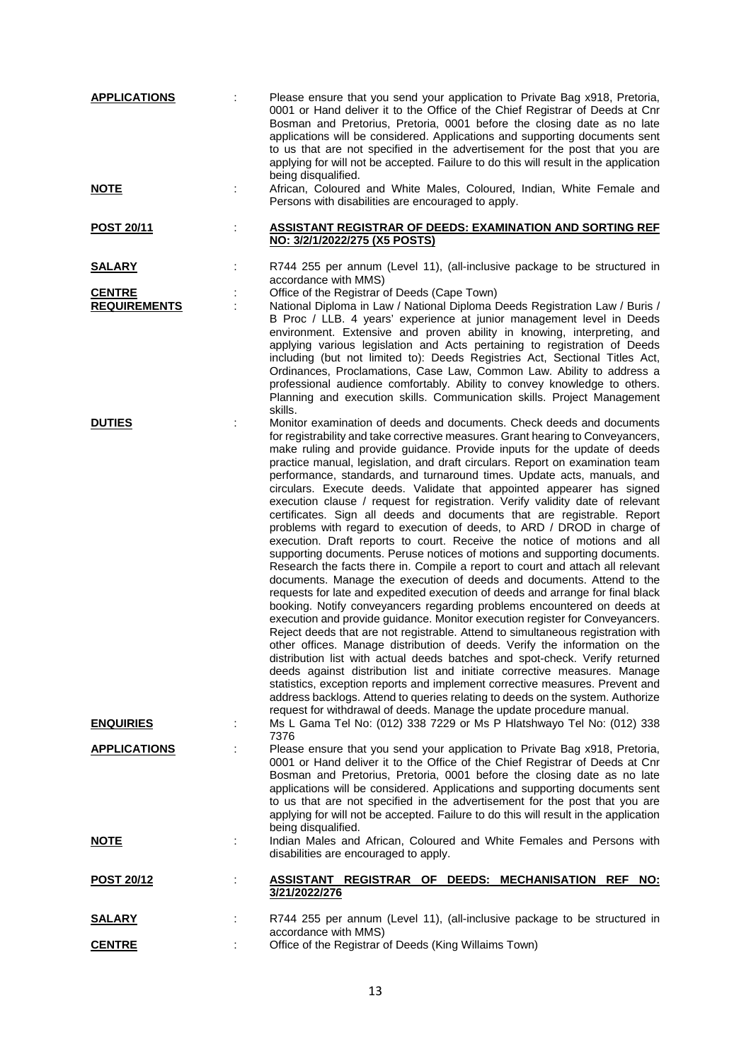| <b>APPLICATIONS</b>                  | t | Please ensure that you send your application to Private Bag x918, Pretoria,<br>0001 or Hand deliver it to the Office of the Chief Registrar of Deeds at Cnr<br>Bosman and Pretorius, Pretoria, 0001 before the closing date as no late<br>applications will be considered. Applications and supporting documents sent<br>to us that are not specified in the advertisement for the post that you are<br>applying for will not be accepted. Failure to do this will result in the application<br>being disqualified.                                                                                                                                                                                                                                                                                                                                                                                                                                                                                                                                                                                                                                                                                                                                                                                                                                                                                                                                                                                                                                                                                                                                                                                                                                                                                                                                    |
|--------------------------------------|---|--------------------------------------------------------------------------------------------------------------------------------------------------------------------------------------------------------------------------------------------------------------------------------------------------------------------------------------------------------------------------------------------------------------------------------------------------------------------------------------------------------------------------------------------------------------------------------------------------------------------------------------------------------------------------------------------------------------------------------------------------------------------------------------------------------------------------------------------------------------------------------------------------------------------------------------------------------------------------------------------------------------------------------------------------------------------------------------------------------------------------------------------------------------------------------------------------------------------------------------------------------------------------------------------------------------------------------------------------------------------------------------------------------------------------------------------------------------------------------------------------------------------------------------------------------------------------------------------------------------------------------------------------------------------------------------------------------------------------------------------------------------------------------------------------------------------------------------------------------|
| <u>NOTE</u>                          |   | African, Coloured and White Males, Coloured, Indian, White Female and<br>Persons with disabilities are encouraged to apply.                                                                                                                                                                                                                                                                                                                                                                                                                                                                                                                                                                                                                                                                                                                                                                                                                                                                                                                                                                                                                                                                                                                                                                                                                                                                                                                                                                                                                                                                                                                                                                                                                                                                                                                            |
| <b>POST 20/11</b>                    |   | <b>ASSISTANT REGISTRAR OF DEEDS: EXAMINATION AND SORTING REF</b><br>NO: 3/2/1/2022/275 (X5 POSTS)                                                                                                                                                                                                                                                                                                                                                                                                                                                                                                                                                                                                                                                                                                                                                                                                                                                                                                                                                                                                                                                                                                                                                                                                                                                                                                                                                                                                                                                                                                                                                                                                                                                                                                                                                      |
| <b>SALARY</b>                        |   | R744 255 per annum (Level 11), (all-inclusive package to be structured in<br>accordance with MMS)                                                                                                                                                                                                                                                                                                                                                                                                                                                                                                                                                                                                                                                                                                                                                                                                                                                                                                                                                                                                                                                                                                                                                                                                                                                                                                                                                                                                                                                                                                                                                                                                                                                                                                                                                      |
| <b>CENTRE</b><br><b>REQUIREMENTS</b> |   | Office of the Registrar of Deeds (Cape Town)<br>National Diploma in Law / National Diploma Deeds Registration Law / Buris /<br>B Proc / LLB. 4 years' experience at junior management level in Deeds<br>environment. Extensive and proven ability in knowing, interpreting, and<br>applying various legislation and Acts pertaining to registration of Deeds<br>including (but not limited to): Deeds Registries Act, Sectional Titles Act,<br>Ordinances, Proclamations, Case Law, Common Law. Ability to address a<br>professional audience comfortably. Ability to convey knowledge to others.<br>Planning and execution skills. Communication skills. Project Management<br>skills.                                                                                                                                                                                                                                                                                                                                                                                                                                                                                                                                                                                                                                                                                                                                                                                                                                                                                                                                                                                                                                                                                                                                                                |
| <b>DUTIES</b>                        |   | Monitor examination of deeds and documents. Check deeds and documents<br>for registrability and take corrective measures. Grant hearing to Conveyancers,<br>make ruling and provide guidance. Provide inputs for the update of deeds<br>practice manual, legislation, and draft circulars. Report on examination team<br>performance, standards, and turnaround times. Update acts, manuals, and<br>circulars. Execute deeds. Validate that appointed appearer has signed<br>execution clause / request for registration. Verify validity date of relevant<br>certificates. Sign all deeds and documents that are registrable. Report<br>problems with regard to execution of deeds, to ARD / DROD in charge of<br>execution. Draft reports to court. Receive the notice of motions and all<br>supporting documents. Peruse notices of motions and supporting documents.<br>Research the facts there in. Compile a report to court and attach all relevant<br>documents. Manage the execution of deeds and documents. Attend to the<br>requests for late and expedited execution of deeds and arrange for final black<br>booking. Notify conveyancers regarding problems encountered on deeds at<br>execution and provide guidance. Monitor execution register for Conveyancers.<br>Reject deeds that are not registrable. Attend to simultaneous registration with<br>other offices. Manage distribution of deeds. Verify the information on the<br>distribution list with actual deeds batches and spot-check. Verify returned<br>deeds against distribution list and initiate corrective measures. Manage<br>statistics, exception reports and implement corrective measures. Prevent and<br>address backlogs. Attend to queries relating to deeds on the system. Authorize<br>request for withdrawal of deeds. Manage the update procedure manual. |
| <b>ENQUIRIES</b>                     |   | Ms L Gama Tel No: (012) 338 7229 or Ms P Hlatshwayo Tel No: (012) 338<br>7376                                                                                                                                                                                                                                                                                                                                                                                                                                                                                                                                                                                                                                                                                                                                                                                                                                                                                                                                                                                                                                                                                                                                                                                                                                                                                                                                                                                                                                                                                                                                                                                                                                                                                                                                                                          |
| <b>APPLICATIONS</b>                  |   | Please ensure that you send your application to Private Bag x918, Pretoria,<br>0001 or Hand deliver it to the Office of the Chief Registrar of Deeds at Cnr<br>Bosman and Pretorius, Pretoria, 0001 before the closing date as no late<br>applications will be considered. Applications and supporting documents sent<br>to us that are not specified in the advertisement for the post that you are<br>applying for will not be accepted. Failure to do this will result in the application<br>being disqualified.                                                                                                                                                                                                                                                                                                                                                                                                                                                                                                                                                                                                                                                                                                                                                                                                                                                                                                                                                                                                                                                                                                                                                                                                                                                                                                                                    |
| <u>NOTE</u>                          |   | Indian Males and African, Coloured and White Females and Persons with<br>disabilities are encouraged to apply.                                                                                                                                                                                                                                                                                                                                                                                                                                                                                                                                                                                                                                                                                                                                                                                                                                                                                                                                                                                                                                                                                                                                                                                                                                                                                                                                                                                                                                                                                                                                                                                                                                                                                                                                         |
| <b>POST 20/12</b>                    |   | ASSISTANT REGISTRAR OF DEEDS: MECHANISATION REF<br>NO:<br>3/21/2022/276                                                                                                                                                                                                                                                                                                                                                                                                                                                                                                                                                                                                                                                                                                                                                                                                                                                                                                                                                                                                                                                                                                                                                                                                                                                                                                                                                                                                                                                                                                                                                                                                                                                                                                                                                                                |
| <u>SALARY</u>                        |   | R744 255 per annum (Level 11), (all-inclusive package to be structured in<br>accordance with MMS)                                                                                                                                                                                                                                                                                                                                                                                                                                                                                                                                                                                                                                                                                                                                                                                                                                                                                                                                                                                                                                                                                                                                                                                                                                                                                                                                                                                                                                                                                                                                                                                                                                                                                                                                                      |
| <b>CENTRE</b>                        |   | Office of the Registrar of Deeds (King Willaims Town)                                                                                                                                                                                                                                                                                                                                                                                                                                                                                                                                                                                                                                                                                                                                                                                                                                                                                                                                                                                                                                                                                                                                                                                                                                                                                                                                                                                                                                                                                                                                                                                                                                                                                                                                                                                                  |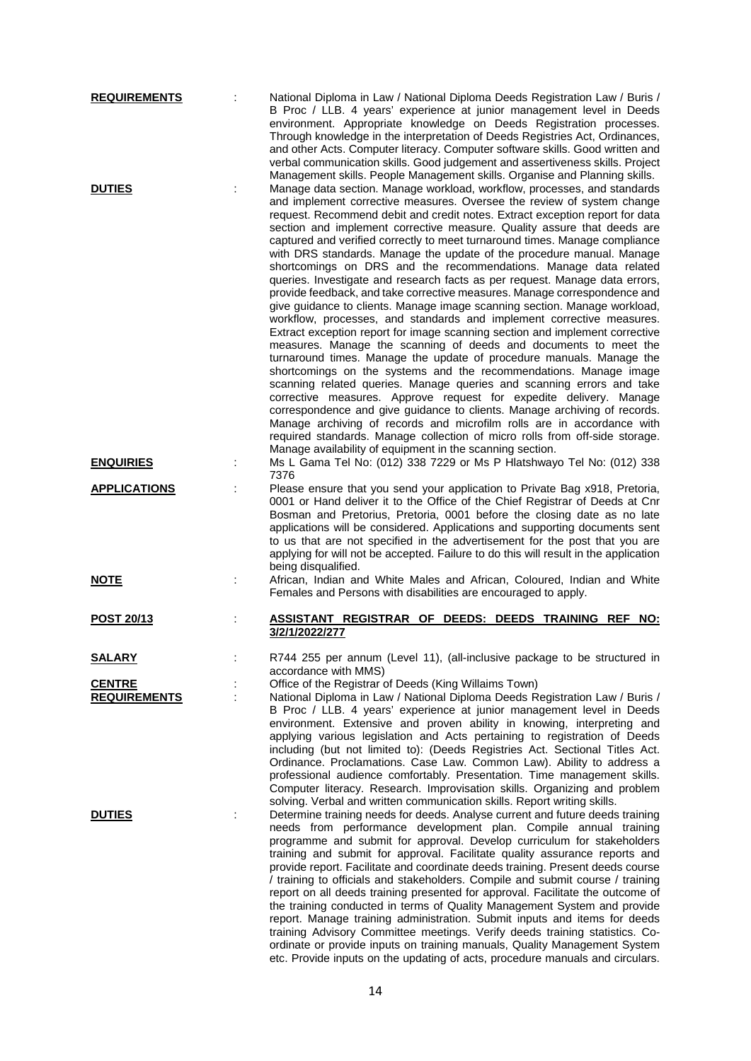| <b>REQUIREMENTS</b>                  | National Diploma in Law / National Diploma Deeds Registration Law / Buris /<br>B Proc / LLB. 4 years' experience at junior management level in Deeds<br>environment. Appropriate knowledge on Deeds Registration processes.<br>Through knowledge in the interpretation of Deeds Registries Act, Ordinances,<br>and other Acts. Computer literacy. Computer software skills. Good written and<br>verbal communication skills. Good judgement and assertiveness skills. Project                                                                                                                                                                                                                                                                                                                                                                                                                                                                                                                                                                                                                                                                                                                                                                                                                                                                                                                                                                                                                                                                                                                                                                                                                |
|--------------------------------------|----------------------------------------------------------------------------------------------------------------------------------------------------------------------------------------------------------------------------------------------------------------------------------------------------------------------------------------------------------------------------------------------------------------------------------------------------------------------------------------------------------------------------------------------------------------------------------------------------------------------------------------------------------------------------------------------------------------------------------------------------------------------------------------------------------------------------------------------------------------------------------------------------------------------------------------------------------------------------------------------------------------------------------------------------------------------------------------------------------------------------------------------------------------------------------------------------------------------------------------------------------------------------------------------------------------------------------------------------------------------------------------------------------------------------------------------------------------------------------------------------------------------------------------------------------------------------------------------------------------------------------------------------------------------------------------------|
| <b>DUTIES</b>                        | Management skills. People Management skills. Organise and Planning skills.<br>Manage data section. Manage workload, workflow, processes, and standards<br>and implement corrective measures. Oversee the review of system change<br>request. Recommend debit and credit notes. Extract exception report for data<br>section and implement corrective measure. Quality assure that deeds are<br>captured and verified correctly to meet turnaround times. Manage compliance<br>with DRS standards. Manage the update of the procedure manual. Manage<br>shortcomings on DRS and the recommendations. Manage data related<br>queries. Investigate and research facts as per request. Manage data errors,<br>provide feedback, and take corrective measures. Manage correspondence and<br>give guidance to clients. Manage image scanning section. Manage workload,<br>workflow, processes, and standards and implement corrective measures.<br>Extract exception report for image scanning section and implement corrective<br>measures. Manage the scanning of deeds and documents to meet the<br>turnaround times. Manage the update of procedure manuals. Manage the<br>shortcomings on the systems and the recommendations. Manage image<br>scanning related queries. Manage queries and scanning errors and take<br>corrective measures. Approve request for expedite delivery. Manage<br>correspondence and give guidance to clients. Manage archiving of records.<br>Manage archiving of records and microfilm rolls are in accordance with<br>required standards. Manage collection of micro rolls from off-side storage.<br>Manage availability of equipment in the scanning section. |
| <b>ENQUIRIES</b>                     | Ms L Gama Tel No: (012) 338 7229 or Ms P Hlatshwayo Tel No: (012) 338<br>7376                                                                                                                                                                                                                                                                                                                                                                                                                                                                                                                                                                                                                                                                                                                                                                                                                                                                                                                                                                                                                                                                                                                                                                                                                                                                                                                                                                                                                                                                                                                                                                                                                |
| <b>APPLICATIONS</b>                  | Please ensure that you send your application to Private Bag x918, Pretoria,<br>0001 or Hand deliver it to the Office of the Chief Registrar of Deeds at Cnr<br>Bosman and Pretorius, Pretoria, 0001 before the closing date as no late<br>applications will be considered. Applications and supporting documents sent<br>to us that are not specified in the advertisement for the post that you are<br>applying for will not be accepted. Failure to do this will result in the application<br>being disqualified.                                                                                                                                                                                                                                                                                                                                                                                                                                                                                                                                                                                                                                                                                                                                                                                                                                                                                                                                                                                                                                                                                                                                                                          |
| <b>NOTE</b>                          | African, Indian and White Males and African, Coloured, Indian and White<br>Females and Persons with disabilities are encouraged to apply.                                                                                                                                                                                                                                                                                                                                                                                                                                                                                                                                                                                                                                                                                                                                                                                                                                                                                                                                                                                                                                                                                                                                                                                                                                                                                                                                                                                                                                                                                                                                                    |
| POST 20/13                           | ASSISTANT REGISTRAR OF DEEDS: DEEDS TRAINING<br>REF<br>NO:<br>3/2/1/2022/277                                                                                                                                                                                                                                                                                                                                                                                                                                                                                                                                                                                                                                                                                                                                                                                                                                                                                                                                                                                                                                                                                                                                                                                                                                                                                                                                                                                                                                                                                                                                                                                                                 |
| <b>SALARY</b>                        | R744 255 per annum (Level 11), (all-inclusive package to be structured in<br>accordance with MMS)                                                                                                                                                                                                                                                                                                                                                                                                                                                                                                                                                                                                                                                                                                                                                                                                                                                                                                                                                                                                                                                                                                                                                                                                                                                                                                                                                                                                                                                                                                                                                                                            |
| <b>CENTRE</b><br><b>REQUIREMENTS</b> | Office of the Registrar of Deeds (King Willaims Town)<br>National Diploma in Law / National Diploma Deeds Registration Law / Buris /<br>B Proc / LLB. 4 years' experience at junior management level in Deeds<br>environment. Extensive and proven ability in knowing, interpreting and<br>applying various legislation and Acts pertaining to registration of Deeds<br>including (but not limited to): (Deeds Registries Act. Sectional Titles Act.<br>Ordinance. Proclamations. Case Law. Common Law). Ability to address a<br>professional audience comfortably. Presentation. Time management skills.<br>Computer literacy. Research. Improvisation skills. Organizing and problem                                                                                                                                                                                                                                                                                                                                                                                                                                                                                                                                                                                                                                                                                                                                                                                                                                                                                                                                                                                                       |
| <b>DUTIES</b>                        | solving. Verbal and written communication skills. Report writing skills.<br>Determine training needs for deeds. Analyse current and future deeds training<br>needs from performance development plan. Compile annual training<br>programme and submit for approval. Develop curriculum for stakeholders<br>training and submit for approval. Facilitate quality assurance reports and<br>provide report. Facilitate and coordinate deeds training. Present deeds course<br>/ training to officials and stakeholders. Compile and submit course / training<br>report on all deeds training presented for approval. Facilitate the outcome of<br>the training conducted in terms of Quality Management System and provide<br>report. Manage training administration. Submit inputs and items for deeds<br>training Advisory Committee meetings. Verify deeds training statistics. Co-<br>ordinate or provide inputs on training manuals, Quality Management System                                                                                                                                                                                                                                                                                                                                                                                                                                                                                                                                                                                                                                                                                                                             |

etc. Provide inputs on the updating of acts, procedure manuals and circulars.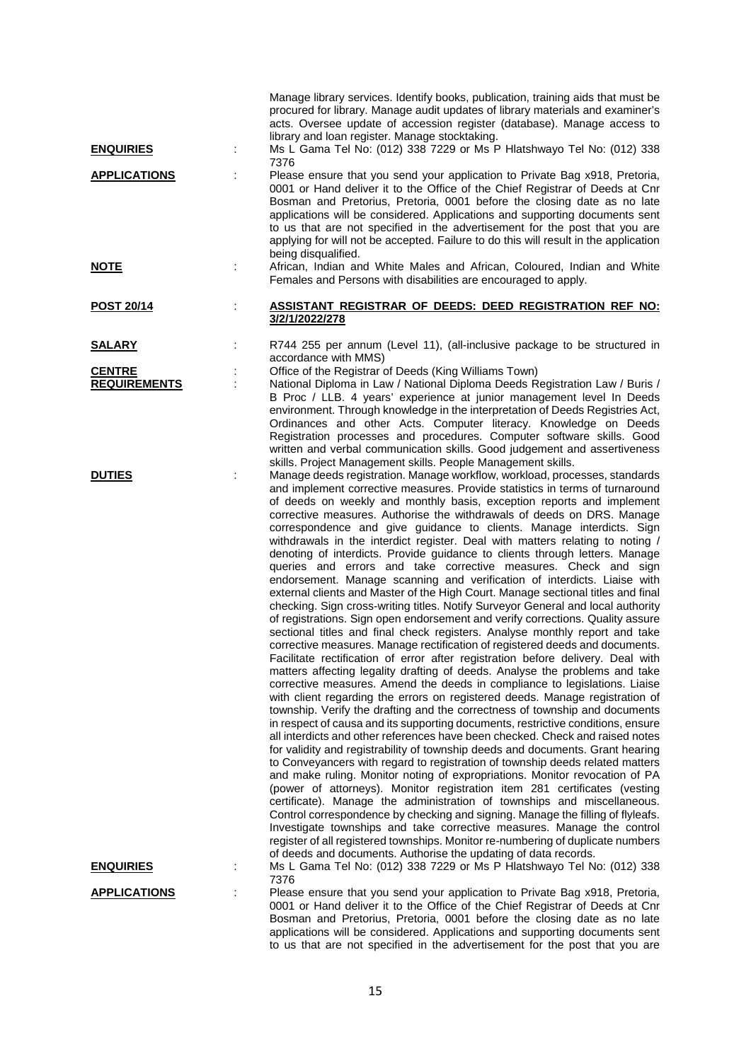| <b>ENQUIRIES</b>    | Manage library services. Identify books, publication, training aids that must be<br>procured for library. Manage audit updates of library materials and examiner's<br>acts. Oversee update of accession register (database). Manage access to<br>library and loan register. Manage stocktaking.<br>Ms L Gama Tel No: (012) 338 7229 or Ms P Hlatshwayo Tel No: (012) 338<br>7376                                                                                                                                                                                                                                                                                                                                                                                                                                                                                                                                                                                                                                                                                                                                                                                                                                                                                                                                                                                                                                                                                                                                                                                                                                                                                                                                                                                                                                                                                                                                                                                                                                                                                                                                                                                                                                                                                                                                                                                                                                                               |
|---------------------|------------------------------------------------------------------------------------------------------------------------------------------------------------------------------------------------------------------------------------------------------------------------------------------------------------------------------------------------------------------------------------------------------------------------------------------------------------------------------------------------------------------------------------------------------------------------------------------------------------------------------------------------------------------------------------------------------------------------------------------------------------------------------------------------------------------------------------------------------------------------------------------------------------------------------------------------------------------------------------------------------------------------------------------------------------------------------------------------------------------------------------------------------------------------------------------------------------------------------------------------------------------------------------------------------------------------------------------------------------------------------------------------------------------------------------------------------------------------------------------------------------------------------------------------------------------------------------------------------------------------------------------------------------------------------------------------------------------------------------------------------------------------------------------------------------------------------------------------------------------------------------------------------------------------------------------------------------------------------------------------------------------------------------------------------------------------------------------------------------------------------------------------------------------------------------------------------------------------------------------------------------------------------------------------------------------------------------------------------------------------------------------------------------------------------------------------|
| <b>APPLICATIONS</b> | Please ensure that you send your application to Private Bag x918, Pretoria,<br>0001 or Hand deliver it to the Office of the Chief Registrar of Deeds at Cnr<br>Bosman and Pretorius, Pretoria, 0001 before the closing date as no late<br>applications will be considered. Applications and supporting documents sent<br>to us that are not specified in the advertisement for the post that you are<br>applying for will not be accepted. Failure to do this will result in the application<br>being disqualified.                                                                                                                                                                                                                                                                                                                                                                                                                                                                                                                                                                                                                                                                                                                                                                                                                                                                                                                                                                                                                                                                                                                                                                                                                                                                                                                                                                                                                                                                                                                                                                                                                                                                                                                                                                                                                                                                                                                            |
| <u>NOTE</u>         | African, Indian and White Males and African, Coloured, Indian and White<br>Females and Persons with disabilities are encouraged to apply.                                                                                                                                                                                                                                                                                                                                                                                                                                                                                                                                                                                                                                                                                                                                                                                                                                                                                                                                                                                                                                                                                                                                                                                                                                                                                                                                                                                                                                                                                                                                                                                                                                                                                                                                                                                                                                                                                                                                                                                                                                                                                                                                                                                                                                                                                                      |
| <b>POST 20/14</b>   | ASSISTANT REGISTRAR OF DEEDS: DEED REGISTRATION REF NO:<br>3/2/1/2022/278                                                                                                                                                                                                                                                                                                                                                                                                                                                                                                                                                                                                                                                                                                                                                                                                                                                                                                                                                                                                                                                                                                                                                                                                                                                                                                                                                                                                                                                                                                                                                                                                                                                                                                                                                                                                                                                                                                                                                                                                                                                                                                                                                                                                                                                                                                                                                                      |
| <b>SALARY</b>       | R744 255 per annum (Level 11), (all-inclusive package to be structured in<br>accordance with MMS)                                                                                                                                                                                                                                                                                                                                                                                                                                                                                                                                                                                                                                                                                                                                                                                                                                                                                                                                                                                                                                                                                                                                                                                                                                                                                                                                                                                                                                                                                                                                                                                                                                                                                                                                                                                                                                                                                                                                                                                                                                                                                                                                                                                                                                                                                                                                              |
| <b>CENTRE</b>       | Office of the Registrar of Deeds (King Williams Town)                                                                                                                                                                                                                                                                                                                                                                                                                                                                                                                                                                                                                                                                                                                                                                                                                                                                                                                                                                                                                                                                                                                                                                                                                                                                                                                                                                                                                                                                                                                                                                                                                                                                                                                                                                                                                                                                                                                                                                                                                                                                                                                                                                                                                                                                                                                                                                                          |
| <b>REQUIREMENTS</b> | National Diploma in Law / National Diploma Deeds Registration Law / Buris /<br>B Proc / LLB. 4 years' experience at junior management level In Deeds<br>environment. Through knowledge in the interpretation of Deeds Registries Act,<br>Ordinances and other Acts. Computer literacy. Knowledge on Deeds<br>Registration processes and procedures. Computer software skills. Good<br>written and verbal communication skills. Good judgement and assertiveness<br>skills. Project Management skills. People Management skills.                                                                                                                                                                                                                                                                                                                                                                                                                                                                                                                                                                                                                                                                                                                                                                                                                                                                                                                                                                                                                                                                                                                                                                                                                                                                                                                                                                                                                                                                                                                                                                                                                                                                                                                                                                                                                                                                                                                |
| <b>DUTIES</b>       | Manage deeds registration. Manage workflow, workload, processes, standards<br>and implement corrective measures. Provide statistics in terms of turnaround<br>of deeds on weekly and monthly basis, exception reports and implement<br>corrective measures. Authorise the withdrawals of deeds on DRS. Manage<br>correspondence and give guidance to clients. Manage interdicts. Sign<br>withdrawals in the interdict register. Deal with matters relating to noting /<br>denoting of interdicts. Provide guidance to clients through letters. Manage<br>queries and errors and take corrective measures. Check and sign<br>endorsement. Manage scanning and verification of interdicts. Liaise with<br>external clients and Master of the High Court. Manage sectional titles and final<br>checking. Sign cross-writing titles. Notify Surveyor General and local authority<br>of registrations. Sign open endorsement and verify corrections. Quality assure<br>sectional titles and final check registers. Analyse monthly report and take<br>corrective measures. Manage rectification of registered deeds and documents.<br>Facilitate rectification of error after registration before delivery. Deal with<br>matters affecting legality drafting of deeds. Analyse the problems and take<br>corrective measures. Amend the deeds in compliance to legislations. Liaise<br>with client regarding the errors on registered deeds. Manage registration of<br>township. Verify the drafting and the correctness of township and documents<br>in respect of causa and its supporting documents, restrictive conditions, ensure<br>all interdicts and other references have been checked. Check and raised notes<br>for validity and registrability of township deeds and documents. Grant hearing<br>to Conveyancers with regard to registration of township deeds related matters<br>and make ruling. Monitor noting of expropriations. Monitor revocation of PA<br>(power of attorneys). Monitor registration item 281 certificates (vesting<br>certificate). Manage the administration of townships and miscellaneous.<br>Control correspondence by checking and signing. Manage the filling of flyleafs.<br>Investigate townships and take corrective measures. Manage the control<br>register of all registered townships. Monitor re-numbering of duplicate numbers<br>of deeds and documents. Authorise the updating of data records. |
| <u>ENQUIRIES</u>    | Ms L Gama Tel No: (012) 338 7229 or Ms P Hlatshwayo Tel No: (012) 338<br>7376                                                                                                                                                                                                                                                                                                                                                                                                                                                                                                                                                                                                                                                                                                                                                                                                                                                                                                                                                                                                                                                                                                                                                                                                                                                                                                                                                                                                                                                                                                                                                                                                                                                                                                                                                                                                                                                                                                                                                                                                                                                                                                                                                                                                                                                                                                                                                                  |
| <b>APPLICATIONS</b> | Please ensure that you send your application to Private Bag x918, Pretoria,<br>0001 or Hand deliver it to the Office of the Chief Registrar of Deeds at Cnr<br>Bosman and Pretorius, Pretoria, 0001 before the closing date as no late                                                                                                                                                                                                                                                                                                                                                                                                                                                                                                                                                                                                                                                                                                                                                                                                                                                                                                                                                                                                                                                                                                                                                                                                                                                                                                                                                                                                                                                                                                                                                                                                                                                                                                                                                                                                                                                                                                                                                                                                                                                                                                                                                                                                         |
|                     | applications will be considered. Applications and supporting documents sent                                                                                                                                                                                                                                                                                                                                                                                                                                                                                                                                                                                                                                                                                                                                                                                                                                                                                                                                                                                                                                                                                                                                                                                                                                                                                                                                                                                                                                                                                                                                                                                                                                                                                                                                                                                                                                                                                                                                                                                                                                                                                                                                                                                                                                                                                                                                                                    |

to us that are not specified in the advertisement for the post that you are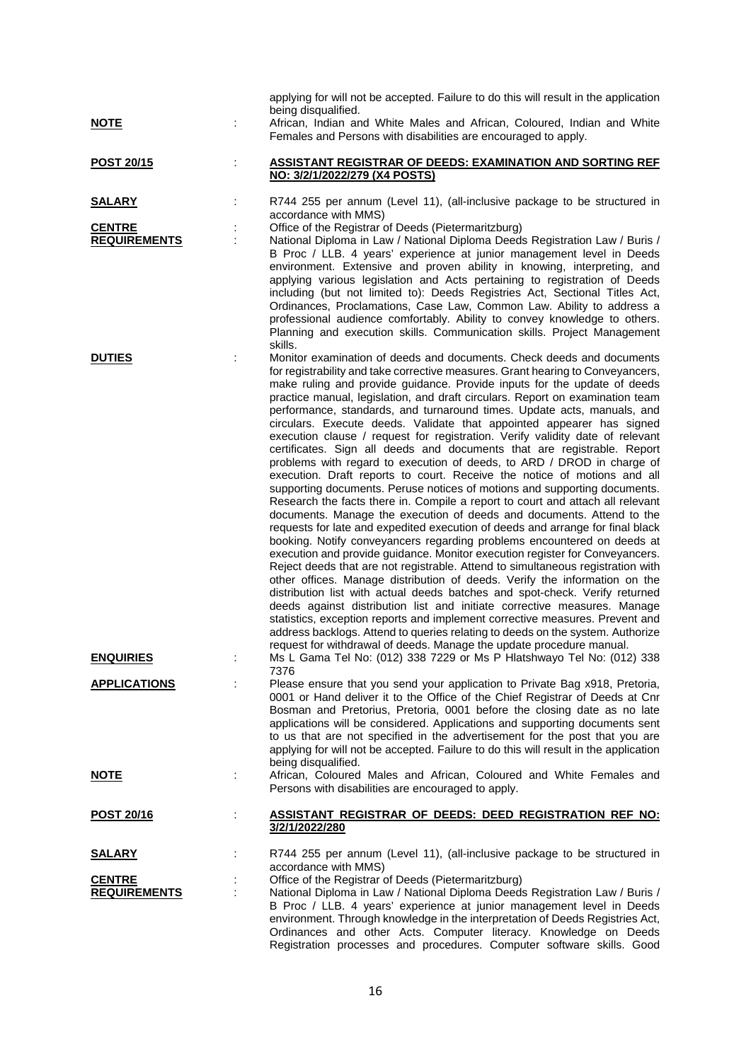| <u>NOTE</u>                                           |   | applying for will not be accepted. Failure to do this will result in the application<br>being disqualified.<br>African, Indian and White Males and African, Coloured, Indian and White<br>Females and Persons with disabilities are encouraged to apply.                                                                                                                                                                                                                                                                                                                                                                                                                                                                                                                                                                                                                                                                                                                                                                                                                                                                                                                                                                                                                                                                                                                                                                                                                                                                                                                                                                                                                                                                                                                                                                                                          |
|-------------------------------------------------------|---|-------------------------------------------------------------------------------------------------------------------------------------------------------------------------------------------------------------------------------------------------------------------------------------------------------------------------------------------------------------------------------------------------------------------------------------------------------------------------------------------------------------------------------------------------------------------------------------------------------------------------------------------------------------------------------------------------------------------------------------------------------------------------------------------------------------------------------------------------------------------------------------------------------------------------------------------------------------------------------------------------------------------------------------------------------------------------------------------------------------------------------------------------------------------------------------------------------------------------------------------------------------------------------------------------------------------------------------------------------------------------------------------------------------------------------------------------------------------------------------------------------------------------------------------------------------------------------------------------------------------------------------------------------------------------------------------------------------------------------------------------------------------------------------------------------------------------------------------------------------------|
| <b>POST 20/15</b>                                     | ÷ | <b>ASSISTANT REGISTRAR OF DEEDS: EXAMINATION AND SORTING REF</b><br>NO: 3/2/1/2022/279 (X4 POSTS)                                                                                                                                                                                                                                                                                                                                                                                                                                                                                                                                                                                                                                                                                                                                                                                                                                                                                                                                                                                                                                                                                                                                                                                                                                                                                                                                                                                                                                                                                                                                                                                                                                                                                                                                                                 |
| <u>SALARY</u><br><b>CENTRE</b><br><b>REQUIREMENTS</b> |   | R744 255 per annum (Level 11), (all-inclusive package to be structured in<br>accordance with MMS)<br>Office of the Registrar of Deeds (Pietermaritzburg)<br>National Diploma in Law / National Diploma Deeds Registration Law / Buris /<br>B Proc / LLB. 4 years' experience at junior management level in Deeds<br>environment. Extensive and proven ability in knowing, interpreting, and<br>applying various legislation and Acts pertaining to registration of Deeds<br>including (but not limited to): Deeds Registries Act, Sectional Titles Act,<br>Ordinances, Proclamations, Case Law, Common Law. Ability to address a<br>professional audience comfortably. Ability to convey knowledge to others.<br>Planning and execution skills. Communication skills. Project Management                                                                                                                                                                                                                                                                                                                                                                                                                                                                                                                                                                                                                                                                                                                                                                                                                                                                                                                                                                                                                                                                          |
| <b>DUTIES</b>                                         |   | skills.<br>Monitor examination of deeds and documents. Check deeds and documents<br>for registrability and take corrective measures. Grant hearing to Conveyancers,<br>make ruling and provide guidance. Provide inputs for the update of deeds<br>practice manual, legislation, and draft circulars. Report on examination team<br>performance, standards, and turnaround times. Update acts, manuals, and<br>circulars. Execute deeds. Validate that appointed appearer has signed<br>execution clause / request for registration. Verify validity date of relevant<br>certificates. Sign all deeds and documents that are registrable. Report<br>problems with regard to execution of deeds, to ARD / DROD in charge of<br>execution. Draft reports to court. Receive the notice of motions and all<br>supporting documents. Peruse notices of motions and supporting documents.<br>Research the facts there in. Compile a report to court and attach all relevant<br>documents. Manage the execution of deeds and documents. Attend to the<br>requests for late and expedited execution of deeds and arrange for final black<br>booking. Notify conveyancers regarding problems encountered on deeds at<br>execution and provide guidance. Monitor execution register for Conveyancers.<br>Reject deeds that are not registrable. Attend to simultaneous registration with<br>other offices. Manage distribution of deeds. Verify the information on the<br>distribution list with actual deeds batches and spot-check. Verify returned<br>deeds against distribution list and initiate corrective measures. Manage<br>statistics, exception reports and implement corrective measures. Prevent and<br>address backlogs. Attend to queries relating to deeds on the system. Authorize<br>request for withdrawal of deeds. Manage the update procedure manual. |
| <b>ENQUIRIES</b><br><b>APPLICATIONS</b>               |   | Ms L Gama Tel No: (012) 338 7229 or Ms P Hlatshwayo Tel No: (012) 338<br>7376<br>Please ensure that you send your application to Private Bag x918, Pretoria,                                                                                                                                                                                                                                                                                                                                                                                                                                                                                                                                                                                                                                                                                                                                                                                                                                                                                                                                                                                                                                                                                                                                                                                                                                                                                                                                                                                                                                                                                                                                                                                                                                                                                                      |
|                                                       |   | 0001 or Hand deliver it to the Office of the Chief Registrar of Deeds at Cnr<br>Bosman and Pretorius, Pretoria, 0001 before the closing date as no late<br>applications will be considered. Applications and supporting documents sent<br>to us that are not specified in the advertisement for the post that you are<br>applying for will not be accepted. Failure to do this will result in the application<br>being disqualified.                                                                                                                                                                                                                                                                                                                                                                                                                                                                                                                                                                                                                                                                                                                                                                                                                                                                                                                                                                                                                                                                                                                                                                                                                                                                                                                                                                                                                              |
| <u>NOTE</u>                                           |   | African, Coloured Males and African, Coloured and White Females and<br>Persons with disabilities are encouraged to apply.                                                                                                                                                                                                                                                                                                                                                                                                                                                                                                                                                                                                                                                                                                                                                                                                                                                                                                                                                                                                                                                                                                                                                                                                                                                                                                                                                                                                                                                                                                                                                                                                                                                                                                                                         |
| <u>POST 20/16</u>                                     |   | <u>ASSISTANT REGISTRAR OF DEEDS: DEED REGISTRATION REF NO:</u><br>3/2/1/2022/280                                                                                                                                                                                                                                                                                                                                                                                                                                                                                                                                                                                                                                                                                                                                                                                                                                                                                                                                                                                                                                                                                                                                                                                                                                                                                                                                                                                                                                                                                                                                                                                                                                                                                                                                                                                  |
| <u>SALARY</u>                                         |   | R744 255 per annum (Level 11), (all-inclusive package to be structured in<br>accordance with MMS)                                                                                                                                                                                                                                                                                                                                                                                                                                                                                                                                                                                                                                                                                                                                                                                                                                                                                                                                                                                                                                                                                                                                                                                                                                                                                                                                                                                                                                                                                                                                                                                                                                                                                                                                                                 |
| <b>CENTRE</b><br><b>REQUIREMENTS</b>                  |   | Office of the Registrar of Deeds (Pietermaritzburg)<br>National Diploma in Law / National Diploma Deeds Registration Law / Buris /<br>B Proc / LLB. 4 years' experience at junior management level in Deeds<br>environment. Through knowledge in the interpretation of Deeds Registries Act,<br>Ordinances and other Acts. Computer literacy. Knowledge on Deeds<br>Registration processes and procedures. Computer software skills. Good                                                                                                                                                                                                                                                                                                                                                                                                                                                                                                                                                                                                                                                                                                                                                                                                                                                                                                                                                                                                                                                                                                                                                                                                                                                                                                                                                                                                                         |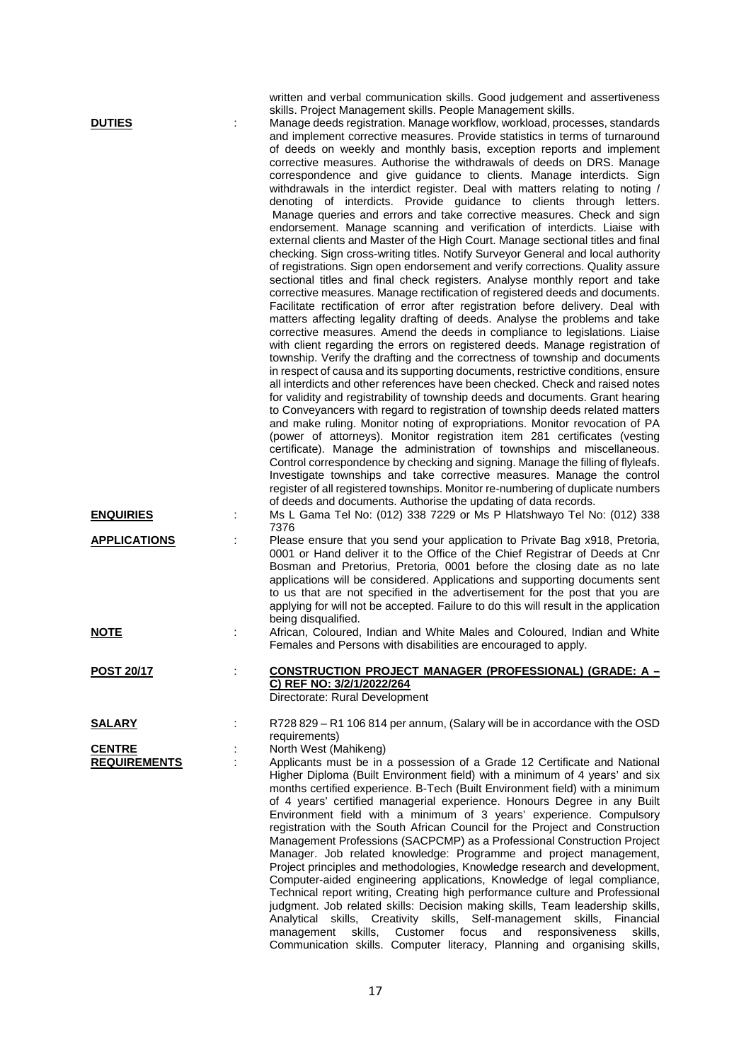written and verbal communication skills. Good judgement and assertiveness skills. Project Management skills. People Management skills.

**DUTIES** : Manage deeds registration. Manage workflow, workload, processes, standards and implement corrective measures. Provide statistics in terms of turnaround of deeds on weekly and monthly basis, exception reports and implement corrective measures. Authorise the withdrawals of deeds on DRS. Manage correspondence and give guidance to clients. Manage interdicts. Sign withdrawals in the interdict register. Deal with matters relating to noting / denoting of interdicts. Provide guidance to clients through letters. Manage queries and errors and take corrective measures. Check and sign endorsement. Manage scanning and verification of interdicts. Liaise with external clients and Master of the High Court. Manage sectional titles and final checking. Sign cross-writing titles. Notify Surveyor General and local authority of registrations. Sign open endorsement and verify corrections. Quality assure sectional titles and final check registers. Analyse monthly report and take corrective measures. Manage rectification of registered deeds and documents. Facilitate rectification of error after registration before delivery. Deal with matters affecting legality drafting of deeds. Analyse the problems and take corrective measures. Amend the deeds in compliance to legislations. Liaise with client regarding the errors on registered deeds. Manage registration of township. Verify the drafting and the correctness of township and documents in respect of causa and its supporting documents, restrictive conditions, ensure all interdicts and other references have been checked. Check and raised notes for validity and registrability of township deeds and documents. Grant hearing to Conveyancers with regard to registration of township deeds related matters and make ruling. Monitor noting of expropriations. Monitor revocation of PA (power of attorneys). Monitor registration item 281 certificates (vesting certificate). Manage the administration of townships and miscellaneous. Control correspondence by checking and signing. Manage the filling of flyleafs. Investigate townships and take corrective measures. Manage the control register of all registered townships. Monitor re-numbering of duplicate numbers of deeds and documents. Authorise the updating of data records. **ENQUIRIES** : Ms L Gama Tel No: (012) 338 7229 or Ms P Hlatshwayo Tel No: (012) 338 7376 **APPLICATIONS** : Please ensure that you send your application to Private Bag x918, Pretoria, 0001 or Hand deliver it to the Office of the Chief Registrar of Deeds at Cnr Bosman and Pretorius, Pretoria, 0001 before the closing date as no late applications will be considered. Applications and supporting documents sent to us that are not specified in the advertisement for the post that you are applying for will not be accepted. Failure to do this will result in the application being disqualified. **NOTE** 2.1 **Example 2.1 African, Coloured, Indian and White Males and Coloured, Indian and White** Females and Persons with disabilities are encouraged to apply. **POST 20/17** : **CONSTRUCTION PROJECT MANAGER (PROFESSIONAL) (GRADE: A – C) REF NO: 3/2/1/2022/264** Directorate: Rural Development **SALARY** : R728 829 – R1 106 814 per annum, (Salary will be in accordance with the OSD requirements) **CENTRE** : North West (Mahikeng)<br> **REQUIREMENTS** : Applicants must be in Applicants must be in a possession of a Grade 12 Certificate and National Higher Diploma (Built Environment field) with a minimum of 4 years' and six months certified experience. B-Tech (Built Environment field) with a minimum of 4 years' certified managerial experience. Honours Degree in any Built Environment field with a minimum of 3 years' experience. Compulsory registration with the South African Council for the Project and Construction Management Professions (SACPCMP) as a Professional Construction Project Manager. Job related knowledge: Programme and project management, Project principles and methodologies, Knowledge research and development, Computer-aided engineering applications, Knowledge of legal compliance, Technical report writing, Creating high performance culture and Professional judgment. Job related skills: Decision making skills, Team leadership skills, Analytical skills, Creativity skills, Self-management skills, Financial management skills, Customer focus and responsiveness skills,

Communication skills. Computer literacy, Planning and organising skills,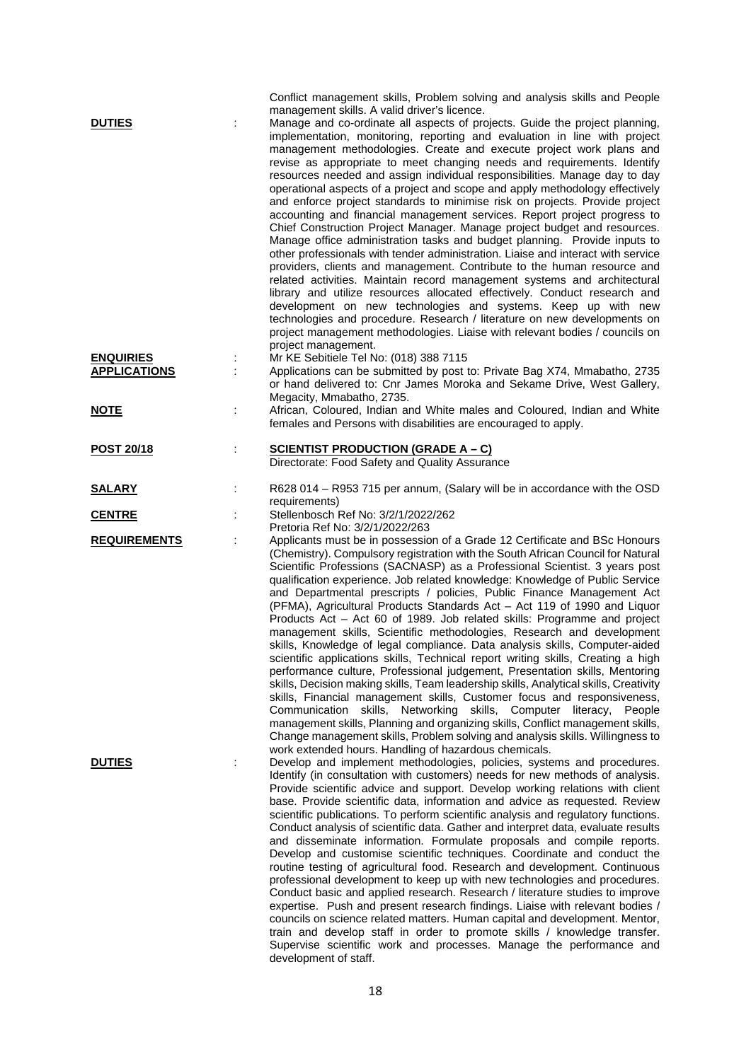| <b>DUTIES</b><br><b>ENQUIRIES</b> |   | Conflict management skills, Problem solving and analysis skills and People<br>management skills. A valid driver's licence.<br>Manage and co-ordinate all aspects of projects. Guide the project planning,<br>implementation, monitoring, reporting and evaluation in line with project<br>management methodologies. Create and execute project work plans and<br>revise as appropriate to meet changing needs and requirements. Identify<br>resources needed and assign individual responsibilities. Manage day to day<br>operational aspects of a project and scope and apply methodology effectively<br>and enforce project standards to minimise risk on projects. Provide project<br>accounting and financial management services. Report project progress to<br>Chief Construction Project Manager. Manage project budget and resources.<br>Manage office administration tasks and budget planning. Provide inputs to<br>other professionals with tender administration. Liaise and interact with service<br>providers, clients and management. Contribute to the human resource and<br>related activities. Maintain record management systems and architectural<br>library and utilize resources allocated effectively. Conduct research and<br>development on new technologies and systems. Keep up with new<br>technologies and procedure. Research / literature on new developments on<br>project management methodologies. Liaise with relevant bodies / councils on<br>project management.<br>Mr KE Sebitiele Tel No: (018) 388 7115 |
|-----------------------------------|---|-------------------------------------------------------------------------------------------------------------------------------------------------------------------------------------------------------------------------------------------------------------------------------------------------------------------------------------------------------------------------------------------------------------------------------------------------------------------------------------------------------------------------------------------------------------------------------------------------------------------------------------------------------------------------------------------------------------------------------------------------------------------------------------------------------------------------------------------------------------------------------------------------------------------------------------------------------------------------------------------------------------------------------------------------------------------------------------------------------------------------------------------------------------------------------------------------------------------------------------------------------------------------------------------------------------------------------------------------------------------------------------------------------------------------------------------------------------------------------------------------------------------------------------------------|
| <b>APPLICATIONS</b>               |   | Applications can be submitted by post to: Private Bag X74, Mmabatho, 2735<br>or hand delivered to: Cnr James Moroka and Sekame Drive, West Gallery,<br>Megacity, Mmabatho, 2735.                                                                                                                                                                                                                                                                                                                                                                                                                                                                                                                                                                                                                                                                                                                                                                                                                                                                                                                                                                                                                                                                                                                                                                                                                                                                                                                                                                |
| <u>NOTE</u>                       |   | African, Coloured, Indian and White males and Coloured, Indian and White<br>females and Persons with disabilities are encouraged to apply.                                                                                                                                                                                                                                                                                                                                                                                                                                                                                                                                                                                                                                                                                                                                                                                                                                                                                                                                                                                                                                                                                                                                                                                                                                                                                                                                                                                                      |
| POST 20/18                        | ÷ | <b>SCIENTIST PRODUCTION (GRADE A - C)</b><br>Directorate: Food Safety and Quality Assurance                                                                                                                                                                                                                                                                                                                                                                                                                                                                                                                                                                                                                                                                                                                                                                                                                                                                                                                                                                                                                                                                                                                                                                                                                                                                                                                                                                                                                                                     |
| <u>SALARY</u>                     |   | R628 014 - R953 715 per annum, (Salary will be in accordance with the OSD<br>requirements)                                                                                                                                                                                                                                                                                                                                                                                                                                                                                                                                                                                                                                                                                                                                                                                                                                                                                                                                                                                                                                                                                                                                                                                                                                                                                                                                                                                                                                                      |
| <b>CENTRE</b>                     |   | Stellenbosch Ref No: 3/2/1/2022/262<br>Pretoria Ref No: 3/2/1/2022/263                                                                                                                                                                                                                                                                                                                                                                                                                                                                                                                                                                                                                                                                                                                                                                                                                                                                                                                                                                                                                                                                                                                                                                                                                                                                                                                                                                                                                                                                          |
| <b>REQUIREMENTS</b>               |   | Applicants must be in possession of a Grade 12 Certificate and BSc Honours<br>(Chemistry). Compulsory registration with the South African Council for Natural<br>Scientific Professions (SACNASP) as a Professional Scientist. 3 years post<br>qualification experience. Job related knowledge: Knowledge of Public Service<br>and Departmental prescripts / policies, Public Finance Management Act<br>(PFMA), Agricultural Products Standards Act - Act 119 of 1990 and Liquor<br>Products Act - Act 60 of 1989. Job related skills: Programme and project<br>management skills, Scientific methodologies, Research and development<br>skills, Knowledge of legal compliance. Data analysis skills, Computer-aided<br>scientific applications skills, Technical report writing skills, Creating a high<br>performance culture, Professional judgement, Presentation skills, Mentoring<br>skills, Decision making skills, Team leadership skills, Analytical skills, Creativity<br>skills, Financial management skills, Customer focus and responsiveness,<br>Communication skills, Networking skills, Computer literacy, People<br>management skills, Planning and organizing skills, Conflict management skills,<br>Change management skills, Problem solving and analysis skills. Willingness to<br>work extended hours. Handling of hazardous chemicals.                                                                                                                                                                                   |
| <b>DUTIES</b>                     |   | Develop and implement methodologies, policies, systems and procedures.<br>Identify (in consultation with customers) needs for new methods of analysis.<br>Provide scientific advice and support. Develop working relations with client<br>base. Provide scientific data, information and advice as requested. Review<br>scientific publications. To perform scientific analysis and regulatory functions.<br>Conduct analysis of scientific data. Gather and interpret data, evaluate results<br>and disseminate information. Formulate proposals and compile reports.<br>Develop and customise scientific techniques. Coordinate and conduct the<br>routine testing of agricultural food. Research and development. Continuous<br>professional development to keep up with new technologies and procedures.<br>Conduct basic and applied research. Research / literature studies to improve<br>expertise. Push and present research findings. Liaise with relevant bodies /<br>councils on science related matters. Human capital and development. Mentor,<br>train and develop staff in order to promote skills / knowledge transfer.<br>Supervise scientific work and processes. Manage the performance and<br>development of staff.                                                                                                                                                                                                                                                                                                         |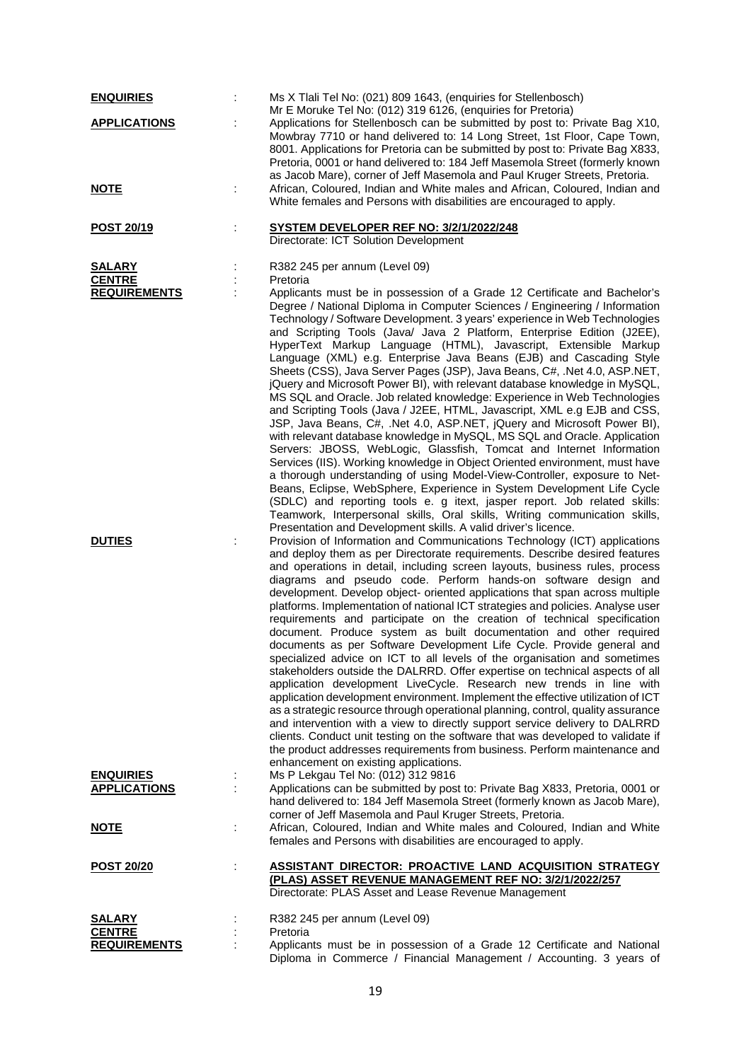| <b>ENQUIRIES</b>                               |   | Ms X Tlali Tel No: (021) 809 1643, (enquiries for Stellenbosch)<br>Mr E Moruke Tel No: (012) 319 6126, (enquiries for Pretoria)                                                                                                                                                                                                                                                                                                                                                                                                                                                                                                                                                                                                                                                                                                                                                                                                                                                                                                                                                                                                                                                                                                                                                                                                                                                                                                                                                                                              |
|------------------------------------------------|---|------------------------------------------------------------------------------------------------------------------------------------------------------------------------------------------------------------------------------------------------------------------------------------------------------------------------------------------------------------------------------------------------------------------------------------------------------------------------------------------------------------------------------------------------------------------------------------------------------------------------------------------------------------------------------------------------------------------------------------------------------------------------------------------------------------------------------------------------------------------------------------------------------------------------------------------------------------------------------------------------------------------------------------------------------------------------------------------------------------------------------------------------------------------------------------------------------------------------------------------------------------------------------------------------------------------------------------------------------------------------------------------------------------------------------------------------------------------------------------------------------------------------------|
| <b>APPLICATIONS</b>                            |   | Applications for Stellenbosch can be submitted by post to: Private Bag X10,<br>Mowbray 7710 or hand delivered to: 14 Long Street, 1st Floor, Cape Town,<br>8001. Applications for Pretoria can be submitted by post to: Private Bag X833,<br>Pretoria, 0001 or hand delivered to: 184 Jeff Masemola Street (formerly known<br>as Jacob Mare), corner of Jeff Masemola and Paul Kruger Streets, Pretoria.                                                                                                                                                                                                                                                                                                                                                                                                                                                                                                                                                                                                                                                                                                                                                                                                                                                                                                                                                                                                                                                                                                                     |
| <u>NOTE</u>                                    | ÷ | African, Coloured, Indian and White males and African, Coloured, Indian and<br>White females and Persons with disabilities are encouraged to apply.                                                                                                                                                                                                                                                                                                                                                                                                                                                                                                                                                                                                                                                                                                                                                                                                                                                                                                                                                                                                                                                                                                                                                                                                                                                                                                                                                                          |
| POST 20/19                                     | ÷ | <b>SYSTEM DEVELOPER REF NO: 3/2/1/2022/248</b><br>Directorate: ICT Solution Development                                                                                                                                                                                                                                                                                                                                                                                                                                                                                                                                                                                                                                                                                                                                                                                                                                                                                                                                                                                                                                                                                                                                                                                                                                                                                                                                                                                                                                      |
| SALARY<br><b>CENTRE</b><br><b>REQUIREMENTS</b> |   | R382 245 per annum (Level 09)<br>Pretoria<br>Applicants must be in possession of a Grade 12 Certificate and Bachelor's<br>Degree / National Diploma in Computer Sciences / Engineering / Information<br>Technology / Software Development. 3 years' experience in Web Technologies<br>and Scripting Tools (Java/ Java 2 Platform, Enterprise Edition (J2EE),<br>HyperText Markup Language (HTML), Javascript, Extensible Markup<br>Language (XML) e.g. Enterprise Java Beans (EJB) and Cascading Style<br>Sheets (CSS), Java Server Pages (JSP), Java Beans, C#, .Net 4.0, ASP.NET,<br>jQuery and Microsoft Power BI), with relevant database knowledge in MySQL,<br>MS SQL and Oracle. Job related knowledge: Experience in Web Technologies<br>and Scripting Tools (Java / J2EE, HTML, Javascript, XML e.g EJB and CSS,<br>JSP, Java Beans, C#, .Net 4.0, ASP.NET, jQuery and Microsoft Power BI),<br>with relevant database knowledge in MySQL, MS SQL and Oracle. Application<br>Servers: JBOSS, WebLogic, Glassfish, Tomcat and Internet Information<br>Services (IIS). Working knowledge in Object Oriented environment, must have<br>a thorough understanding of using Model-View-Controller, exposure to Net-<br>Beans, Eclipse, WebSphere, Experience in System Development Life Cycle<br>(SDLC) and reporting tools e. g itext, jasper report. Job related skills:<br>Teamwork, Interpersonal skills, Oral skills, Writing communication skills,<br>Presentation and Development skills. A valid driver's licence. |
| <b>DUTIES</b>                                  | t | Provision of Information and Communications Technology (ICT) applications<br>and deploy them as per Directorate requirements. Describe desired features<br>and operations in detail, including screen layouts, business rules, process<br>diagrams and pseudo code. Perform hands-on software design and<br>development. Develop object- oriented applications that span across multiple<br>platforms. Implementation of national ICT strategies and policies. Analyse user<br>requirements and participate on the creation of technical specification<br>document. Produce system as built documentation and other required<br>documents as per Software Development Life Cycle. Provide general and<br>specialized advice on ICT to all levels of the organisation and sometimes<br>stakeholders outside the DALRRD. Offer expertise on technical aspects of all<br>application development LiveCycle. Research new trends in line with<br>application development environment. Implement the effective utilization of ICT<br>as a strategic resource through operational planning, control, quality assurance<br>and intervention with a view to directly support service delivery to DALRRD<br>clients. Conduct unit testing on the software that was developed to validate if<br>the product addresses requirements from business. Perform maintenance and<br>enhancement on existing applications.                                                                                                                     |
| <b>ENQUIRIES</b><br><b>APPLICATIONS</b>        |   | Ms P Lekgau Tel No: (012) 312 9816<br>Applications can be submitted by post to: Private Bag X833, Pretoria, 0001 or<br>hand delivered to: 184 Jeff Masemola Street (formerly known as Jacob Mare),<br>corner of Jeff Masemola and Paul Kruger Streets, Pretoria.                                                                                                                                                                                                                                                                                                                                                                                                                                                                                                                                                                                                                                                                                                                                                                                                                                                                                                                                                                                                                                                                                                                                                                                                                                                             |
| <b>NOTE</b>                                    |   | African, Coloured, Indian and White males and Coloured, Indian and White<br>females and Persons with disabilities are encouraged to apply.                                                                                                                                                                                                                                                                                                                                                                                                                                                                                                                                                                                                                                                                                                                                                                                                                                                                                                                                                                                                                                                                                                                                                                                                                                                                                                                                                                                   |
| <b>POST 20/20</b>                              | ÷ | <b>ASSISTANT DIRECTOR: PROACTIVE LAND ACQUISITION STRATEGY</b><br>(PLAS) ASSET REVENUE MANAGEMENT REF NO: 3/2/1/2022/257<br>Directorate: PLAS Asset and Lease Revenue Management                                                                                                                                                                                                                                                                                                                                                                                                                                                                                                                                                                                                                                                                                                                                                                                                                                                                                                                                                                                                                                                                                                                                                                                                                                                                                                                                             |
| <b>SALARY</b>                                  |   | R382 245 per annum (Level 09)                                                                                                                                                                                                                                                                                                                                                                                                                                                                                                                                                                                                                                                                                                                                                                                                                                                                                                                                                                                                                                                                                                                                                                                                                                                                                                                                                                                                                                                                                                |
| <b>CENTRE</b>                                  |   | Pretoria                                                                                                                                                                                                                                                                                                                                                                                                                                                                                                                                                                                                                                                                                                                                                                                                                                                                                                                                                                                                                                                                                                                                                                                                                                                                                                                                                                                                                                                                                                                     |
| <b>REQUIREMENTS</b>                            |   | Applicants must be in possession of a Grade 12 Certificate and National<br>Diploma in Commerce / Financial Management / Accounting. 3 years of                                                                                                                                                                                                                                                                                                                                                                                                                                                                                                                                                                                                                                                                                                                                                                                                                                                                                                                                                                                                                                                                                                                                                                                                                                                                                                                                                                               |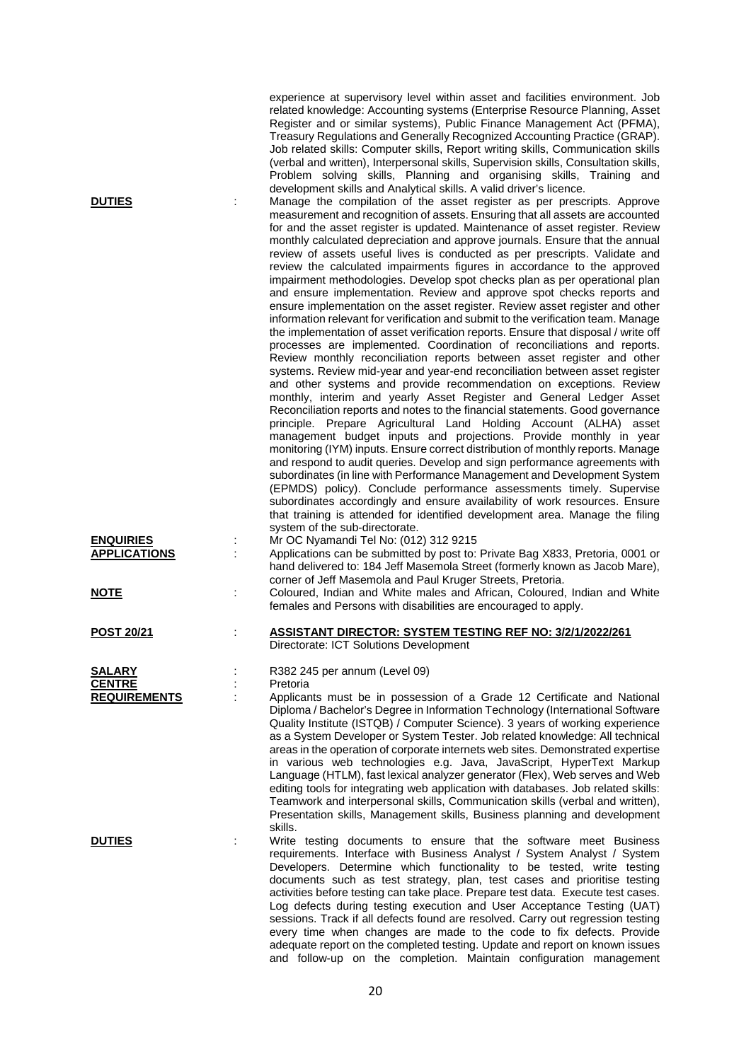| <b>DUTIES</b>                                  |   | experience at supervisory level within asset and facilities environment. Job<br>related knowledge: Accounting systems (Enterprise Resource Planning, Asset<br>Register and or similar systems), Public Finance Management Act (PFMA),<br>Treasury Regulations and Generally Recognized Accounting Practice (GRAP).<br>Job related skills: Computer skills, Report writing skills, Communication skills<br>(verbal and written), Interpersonal skills, Supervision skills, Consultation skills,<br>Problem solving skills, Planning and organising skills, Training and<br>development skills and Analytical skills. A valid driver's licence.<br>Manage the compilation of the asset register as per prescripts. Approve<br>measurement and recognition of assets. Ensuring that all assets are accounted<br>for and the asset register is updated. Maintenance of asset register. Review<br>monthly calculated depreciation and approve journals. Ensure that the annual<br>review of assets useful lives is conducted as per prescripts. Validate and<br>review the calculated impairments figures in accordance to the approved<br>impairment methodologies. Develop spot checks plan as per operational plan<br>and ensure implementation. Review and approve spot checks reports and<br>ensure implementation on the asset register. Review asset register and other<br>information relevant for verification and submit to the verification team. Manage<br>the implementation of asset verification reports. Ensure that disposal / write off<br>processes are implemented. Coordination of reconciliations and reports.<br>Review monthly reconciliation reports between asset register and other<br>systems. Review mid-year and year-end reconciliation between asset register<br>and other systems and provide recommendation on exceptions. Review<br>monthly, interim and yearly Asset Register and General Ledger Asset<br>Reconciliation reports and notes to the financial statements. Good governance<br>principle. Prepare Agricultural Land Holding Account (ALHA) asset<br>management budget inputs and projections. Provide monthly in year<br>monitoring (IYM) inputs. Ensure correct distribution of monthly reports. Manage<br>and respond to audit queries. Develop and sign performance agreements with<br>subordinates (in line with Performance Management and Development System<br>(EPMDS) policy). Conclude performance assessments timely. Supervise<br>subordinates accordingly and ensure availability of work resources. Ensure |
|------------------------------------------------|---|--------------------------------------------------------------------------------------------------------------------------------------------------------------------------------------------------------------------------------------------------------------------------------------------------------------------------------------------------------------------------------------------------------------------------------------------------------------------------------------------------------------------------------------------------------------------------------------------------------------------------------------------------------------------------------------------------------------------------------------------------------------------------------------------------------------------------------------------------------------------------------------------------------------------------------------------------------------------------------------------------------------------------------------------------------------------------------------------------------------------------------------------------------------------------------------------------------------------------------------------------------------------------------------------------------------------------------------------------------------------------------------------------------------------------------------------------------------------------------------------------------------------------------------------------------------------------------------------------------------------------------------------------------------------------------------------------------------------------------------------------------------------------------------------------------------------------------------------------------------------------------------------------------------------------------------------------------------------------------------------------------------------------------------------------------------------------------------------------------------------------------------------------------------------------------------------------------------------------------------------------------------------------------------------------------------------------------------------------------------------------------------------------------------------------------------------------------------------------------------------------------------------------------------------------------------------|
| <b>ENQUIRIES</b><br><b>APPLICATIONS</b>        |   | that training is attended for identified development area. Manage the filing<br>system of the sub-directorate.<br>Mr OC Nyamandi Tel No: (012) 312 9215<br>Applications can be submitted by post to: Private Bag X833, Pretoria, 0001 or                                                                                                                                                                                                                                                                                                                                                                                                                                                                                                                                                                                                                                                                                                                                                                                                                                                                                                                                                                                                                                                                                                                                                                                                                                                                                                                                                                                                                                                                                                                                                                                                                                                                                                                                                                                                                                                                                                                                                                                                                                                                                                                                                                                                                                                                                                                           |
| <b>NOTE</b>                                    | t | hand delivered to: 184 Jeff Masemola Street (formerly known as Jacob Mare),<br>corner of Jeff Masemola and Paul Kruger Streets, Pretoria.<br>Coloured, Indian and White males and African, Coloured, Indian and White<br>females and Persons with disabilities are encouraged to apply.                                                                                                                                                                                                                                                                                                                                                                                                                                                                                                                                                                                                                                                                                                                                                                                                                                                                                                                                                                                                                                                                                                                                                                                                                                                                                                                                                                                                                                                                                                                                                                                                                                                                                                                                                                                                                                                                                                                                                                                                                                                                                                                                                                                                                                                                            |
| <b>POST 20/21</b>                              | ÷ | <b>ASSISTANT DIRECTOR: SYSTEM TESTING REF NO: 3/2/1/2022/261</b><br>Directorate: ICT Solutions Development                                                                                                                                                                                                                                                                                                                                                                                                                                                                                                                                                                                                                                                                                                                                                                                                                                                                                                                                                                                                                                                                                                                                                                                                                                                                                                                                                                                                                                                                                                                                                                                                                                                                                                                                                                                                                                                                                                                                                                                                                                                                                                                                                                                                                                                                                                                                                                                                                                                         |
| SALARY<br><b>CENTRE</b><br><b>REQUIREMENTS</b> |   | R382 245 per annum (Level 09)<br>Pretoria<br>Applicants must be in possession of a Grade 12 Certificate and National<br>Diploma / Bachelor's Degree in Information Technology (International Software<br>Quality Institute (ISTQB) / Computer Science). 3 years of working experience<br>as a System Developer or System Tester. Job related knowledge: All technical<br>areas in the operation of corporate internets web sites. Demonstrated expertise<br>in various web technologies e.g. Java, JavaScript, HyperText Markup<br>Language (HTLM), fast lexical analyzer generator (Flex), Web serves and Web<br>editing tools for integrating web application with databases. Job related skills:<br>Teamwork and interpersonal skills, Communication skills (verbal and written),<br>Presentation skills, Management skills, Business planning and development<br>skills.                                                                                                                                                                                                                                                                                                                                                                                                                                                                                                                                                                                                                                                                                                                                                                                                                                                                                                                                                                                                                                                                                                                                                                                                                                                                                                                                                                                                                                                                                                                                                                                                                                                                                       |
| <b>DUTIES</b>                                  |   | Write testing documents to ensure that the software meet Business<br>requirements. Interface with Business Analyst / System Analyst / System<br>Developers. Determine which functionality to be tested, write testing<br>documents such as test strategy, plan, test cases and prioritise testing<br>activities before testing can take place. Prepare test data. Execute test cases.<br>Log defects during testing execution and User Acceptance Testing (UAT)<br>sessions. Track if all defects found are resolved. Carry out regression testing<br>every time when changes are made to the code to fix defects. Provide<br>adequate report on the completed testing. Update and report on known issues                                                                                                                                                                                                                                                                                                                                                                                                                                                                                                                                                                                                                                                                                                                                                                                                                                                                                                                                                                                                                                                                                                                                                                                                                                                                                                                                                                                                                                                                                                                                                                                                                                                                                                                                                                                                                                                          |

and follow-up on the completion. Maintain configuration management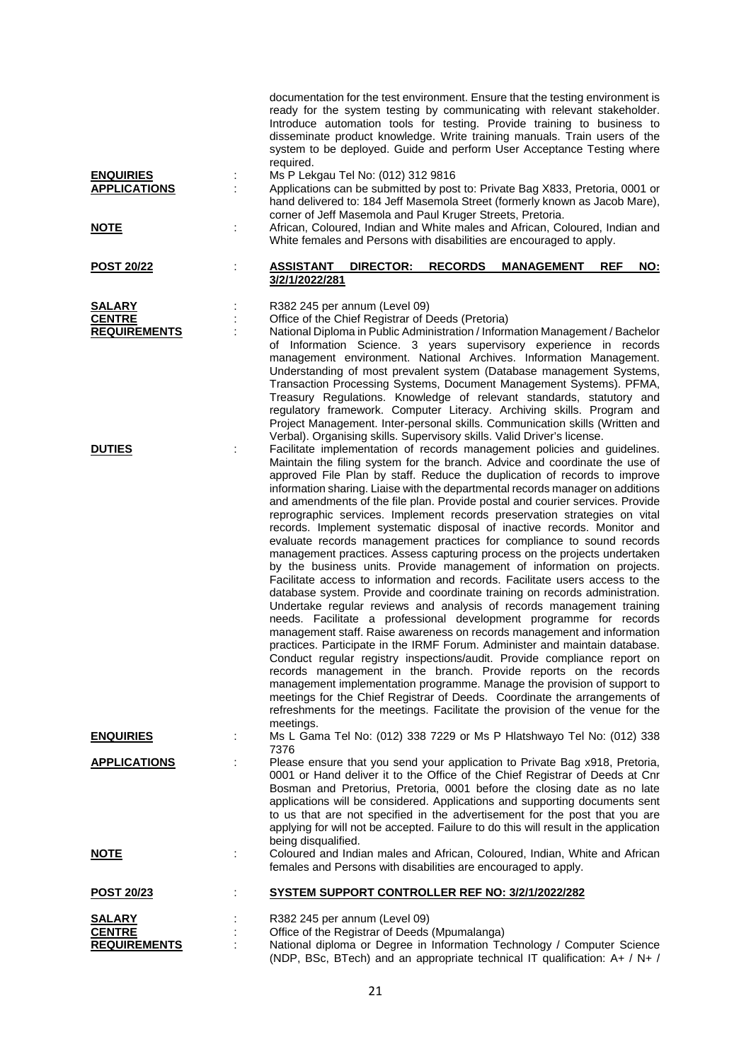|                                         |   | Introduce automation tools for testing. Provide training to business to<br>disseminate product knowledge. Write training manuals. Train users of the<br>system to be deployed. Guide and perform User Acceptance Testing where<br>required.                                               |
|-----------------------------------------|---|-------------------------------------------------------------------------------------------------------------------------------------------------------------------------------------------------------------------------------------------------------------------------------------------|
| <b>ENQUIRIES</b><br><b>APPLICATIONS</b> |   | Ms P Lekgau Tel No: (012) 312 9816<br>Applications can be submitted by post to: Private Bag X833, Pretoria, 0001 or                                                                                                                                                                       |
|                                         |   | hand delivered to: 184 Jeff Masemola Street (formerly known as Jacob Mare),<br>corner of Jeff Masemola and Paul Kruger Streets, Pretoria.                                                                                                                                                 |
| <b>NOTE</b>                             |   | African, Coloured, Indian and White males and African, Coloured, Indian and<br>White females and Persons with disabilities are encouraged to apply.                                                                                                                                       |
| <b>POST 20/22</b>                       |   | <u>ASSISTANT</u><br><b>DIRECTOR:</b><br><b>RECORDS</b><br>NO:<br><b>MANAGEMENT</b><br><b>REF</b><br>3/2/1/2022/281                                                                                                                                                                        |
| <b>SALARY</b>                           |   | R382 245 per annum (Level 09)                                                                                                                                                                                                                                                             |
| <b>CENTRE</b><br><b>REQUIREMENTS</b>    |   | Office of the Chief Registrar of Deeds (Pretoria)<br>National Diploma in Public Administration / Information Management / Bachelor                                                                                                                                                        |
|                                         |   | of Information Science. 3 years supervisory experience in records                                                                                                                                                                                                                         |
|                                         |   | management environment. National Archives. Information Management.<br>Understanding of most prevalent system (Database management Systems,<br>Transaction Processing Systems, Document Management Systems). PFMA,<br>Treasury Regulations. Knowledge of relevant standards, statutory and |
|                                         |   | regulatory framework. Computer Literacy. Archiving skills. Program and<br>Project Management. Inter-personal skills. Communication skills (Written and                                                                                                                                    |
| <b>DUTIES</b>                           |   | Verbal). Organising skills. Supervisory skills. Valid Driver's license.<br>Facilitate implementation of records management policies and guidelines.                                                                                                                                       |
|                                         |   | Maintain the filing system for the branch. Advice and coordinate the use of                                                                                                                                                                                                               |
|                                         |   | approved File Plan by staff. Reduce the duplication of records to improve<br>information sharing. Liaise with the departmental records manager on additions                                                                                                                               |
|                                         |   | and amendments of the file plan. Provide postal and courier services. Provide                                                                                                                                                                                                             |
|                                         |   | reprographic services. Implement records preservation strategies on vital<br>records. Implement systematic disposal of inactive records. Monitor and                                                                                                                                      |
|                                         |   | evaluate records management practices for compliance to sound records                                                                                                                                                                                                                     |
|                                         |   | management practices. Assess capturing process on the projects undertaken<br>by the business units. Provide management of information on projects.<br>Facilitate access to information and records. Facilitate users access to the                                                        |
|                                         |   | database system. Provide and coordinate training on records administration.<br>Undertake regular reviews and analysis of records management training                                                                                                                                      |
|                                         |   | needs. Facilitate a professional development programme for records<br>management staff. Raise awareness on records management and information                                                                                                                                             |
|                                         |   | practices. Participate in the IRMF Forum. Administer and maintain database.<br>Conduct regular registry inspections/audit. Provide compliance report on                                                                                                                                   |
|                                         |   | records management in the branch. Provide reports on the records                                                                                                                                                                                                                          |
|                                         |   | management implementation programme. Manage the provision of support to<br>meetings for the Chief Registrar of Deeds. Coordinate the arrangements of                                                                                                                                      |
|                                         |   | refreshments for the meetings. Facilitate the provision of the venue for the<br>meetings.                                                                                                                                                                                                 |
| <b>ENQUIRIES</b>                        |   | Ms L Gama Tel No: (012) 338 7229 or Ms P Hlatshwayo Tel No: (012) 338<br>7376                                                                                                                                                                                                             |
| <b>APPLICATIONS</b>                     | ÷ | Please ensure that you send your application to Private Bag x918, Pretoria,                                                                                                                                                                                                               |
|                                         |   | 0001 or Hand deliver it to the Office of the Chief Registrar of Deeds at Cnr<br>Bosman and Pretorius, Pretoria, 0001 before the closing date as no late                                                                                                                                   |
|                                         |   | applications will be considered. Applications and supporting documents sent<br>to us that are not specified in the advertisement for the post that you are                                                                                                                                |
|                                         |   | applying for will not be accepted. Failure to do this will result in the application                                                                                                                                                                                                      |
| <u>NOTE</u>                             |   | being disqualified.<br>Coloured and Indian males and African, Coloured, Indian, White and African                                                                                                                                                                                         |
|                                         |   | females and Persons with disabilities are encouraged to apply.                                                                                                                                                                                                                            |
| <u>POST 20/23</u>                       |   | SYSTEM SUPPORT CONTROLLER REF NO: 3/2/1/2022/282                                                                                                                                                                                                                                          |
| <b>SALARY</b><br><b>CENTRE</b>          |   | R382 245 per annum (Level 09)<br>Office of the Registrar of Deeds (Mpumalanga)                                                                                                                                                                                                            |
| <b>REQUIREMENTS</b>                     |   | National diploma or Degree in Information Technology / Computer Science                                                                                                                                                                                                                   |
|                                         |   | (NDP, BSc, BTech) and an appropriate technical IT qualification: A+ / N+ /                                                                                                                                                                                                                |

documentation for the test environment. Ensure that the testing environment is ready for the system testing by communicating with relevant stakeholder.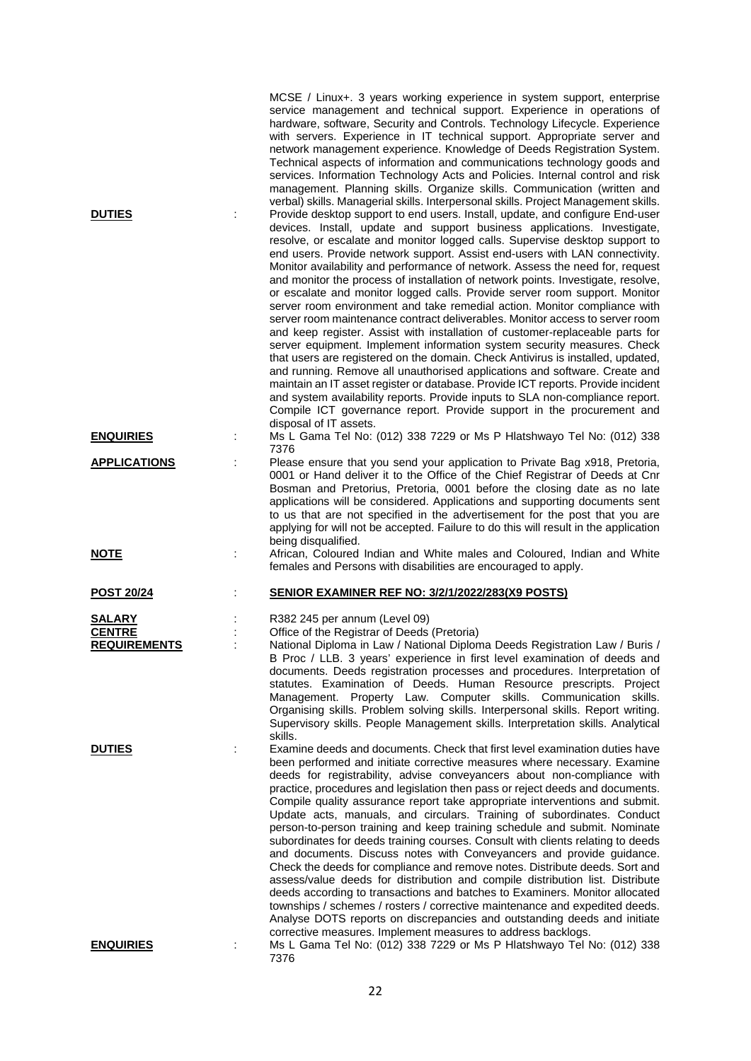| <b>DUTIES</b>                                         | MCSE / Linux+. 3 years working experience in system support, enterprise<br>service management and technical support. Experience in operations of<br>hardware, software, Security and Controls. Technology Lifecycle. Experience<br>with servers. Experience in IT technical support. Appropriate server and<br>network management experience. Knowledge of Deeds Registration System.<br>Technical aspects of information and communications technology goods and<br>services. Information Technology Acts and Policies. Internal control and risk<br>management. Planning skills. Organize skills. Communication (written and<br>verbal) skills. Managerial skills. Interpersonal skills. Project Management skills.<br>Provide desktop support to end users. Install, update, and configure End-user<br>devices. Install, update and support business applications. Investigate,<br>resolve, or escalate and monitor logged calls. Supervise desktop support to<br>end users. Provide network support. Assist end-users with LAN connectivity.<br>Monitor availability and performance of network. Assess the need for, request<br>and monitor the process of installation of network points. Investigate, resolve,<br>or escalate and monitor logged calls. Provide server room support. Monitor<br>server room environment and take remedial action. Monitor compliance with<br>server room maintenance contract deliverables. Monitor access to server room<br>and keep register. Assist with installation of customer-replaceable parts for<br>server equipment. Implement information system security measures. Check<br>that users are registered on the domain. Check Antivirus is installed, updated,<br>and running. Remove all unauthorised applications and software. Create and<br>maintain an IT asset register or database. Provide ICT reports. Provide incident<br>and system availability reports. Provide inputs to SLA non-compliance report.<br>Compile ICT governance report. Provide support in the procurement and |
|-------------------------------------------------------|---------------------------------------------------------------------------------------------------------------------------------------------------------------------------------------------------------------------------------------------------------------------------------------------------------------------------------------------------------------------------------------------------------------------------------------------------------------------------------------------------------------------------------------------------------------------------------------------------------------------------------------------------------------------------------------------------------------------------------------------------------------------------------------------------------------------------------------------------------------------------------------------------------------------------------------------------------------------------------------------------------------------------------------------------------------------------------------------------------------------------------------------------------------------------------------------------------------------------------------------------------------------------------------------------------------------------------------------------------------------------------------------------------------------------------------------------------------------------------------------------------------------------------------------------------------------------------------------------------------------------------------------------------------------------------------------------------------------------------------------------------------------------------------------------------------------------------------------------------------------------------------------------------------------------------------------------------------------------------------------------------------------------------------------|
| <b>ENQUIRIES</b>                                      | disposal of IT assets.<br>Ms L Gama Tel No: (012) 338 7229 or Ms P Hlatshwayo Tel No: (012) 338<br>7376                                                                                                                                                                                                                                                                                                                                                                                                                                                                                                                                                                                                                                                                                                                                                                                                                                                                                                                                                                                                                                                                                                                                                                                                                                                                                                                                                                                                                                                                                                                                                                                                                                                                                                                                                                                                                                                                                                                                     |
| <b>APPLICATIONS</b>                                   | Please ensure that you send your application to Private Bag x918, Pretoria,<br>0001 or Hand deliver it to the Office of the Chief Registrar of Deeds at Cnr<br>Bosman and Pretorius, Pretoria, 0001 before the closing date as no late<br>applications will be considered. Applications and supporting documents sent<br>to us that are not specified in the advertisement for the post that you are<br>applying for will not be accepted. Failure to do this will result in the application<br>being disqualified.                                                                                                                                                                                                                                                                                                                                                                                                                                                                                                                                                                                                                                                                                                                                                                                                                                                                                                                                                                                                                                                                                                                                                                                                                                                                                                                                                                                                                                                                                                                         |
| <u>NOTE</u>                                           | African, Coloured Indian and White males and Coloured, Indian and White<br>females and Persons with disabilities are encouraged to apply.                                                                                                                                                                                                                                                                                                                                                                                                                                                                                                                                                                                                                                                                                                                                                                                                                                                                                                                                                                                                                                                                                                                                                                                                                                                                                                                                                                                                                                                                                                                                                                                                                                                                                                                                                                                                                                                                                                   |
| <b>POST 20/24</b>                                     | <b>SENIOR EXAMINER REF NO: 3/2/1/2022/283(X9 POSTS)</b>                                                                                                                                                                                                                                                                                                                                                                                                                                                                                                                                                                                                                                                                                                                                                                                                                                                                                                                                                                                                                                                                                                                                                                                                                                                                                                                                                                                                                                                                                                                                                                                                                                                                                                                                                                                                                                                                                                                                                                                     |
| <b>SALARY</b><br><b>CENTRE</b><br><b>REQUIREMENTS</b> | R382 245 per annum (Level 09)<br>Office of the Registrar of Deeds (Pretoria)<br>National Diploma in Law / National Diploma Deeds Registration Law / Buris /<br>B Proc / LLB. 3 years' experience in first level examination of deeds and<br>documents. Deeds registration processes and procedures. Interpretation of<br>statutes. Examination of Deeds. Human Resource prescripts. Project<br>Management. Property Law. Computer skills. Communication skills.<br>Organising skills. Problem solving skills. Interpersonal skills. Report writing.<br>Supervisory skills. People Management skills. Interpretation skills. Analytical<br>skills.                                                                                                                                                                                                                                                                                                                                                                                                                                                                                                                                                                                                                                                                                                                                                                                                                                                                                                                                                                                                                                                                                                                                                                                                                                                                                                                                                                                           |
| <b>DUTIES</b>                                         | Examine deeds and documents. Check that first level examination duties have<br>been performed and initiate corrective measures where necessary. Examine<br>deeds for registrability, advise conveyancers about non-compliance with<br>practice, procedures and legislation then pass or reject deeds and documents.<br>Compile quality assurance report take appropriate interventions and submit.<br>Update acts, manuals, and circulars. Training of subordinates. Conduct<br>person-to-person training and keep training schedule and submit. Nominate<br>subordinates for deeds training courses. Consult with clients relating to deeds<br>and documents. Discuss notes with Conveyancers and provide guidance.<br>Check the deeds for compliance and remove notes. Distribute deeds. Sort and<br>assess/value deeds for distribution and compile distribution list. Distribute<br>deeds according to transactions and batches to Examiners. Monitor allocated<br>townships / schemes / rosters / corrective maintenance and expedited deeds.<br>Analyse DOTS reports on discrepancies and outstanding deeds and initiate<br>corrective measures. Implement measures to address backlogs.                                                                                                                                                                                                                                                                                                                                                                                                                                                                                                                                                                                                                                                                                                                                                                                                                                              |
| <b>ENQUIRIES</b>                                      | Ms L Gama Tel No: (012) 338 7229 or Ms P Hlatshwayo Tel No: (012) 338<br>7376                                                                                                                                                                                                                                                                                                                                                                                                                                                                                                                                                                                                                                                                                                                                                                                                                                                                                                                                                                                                                                                                                                                                                                                                                                                                                                                                                                                                                                                                                                                                                                                                                                                                                                                                                                                                                                                                                                                                                               |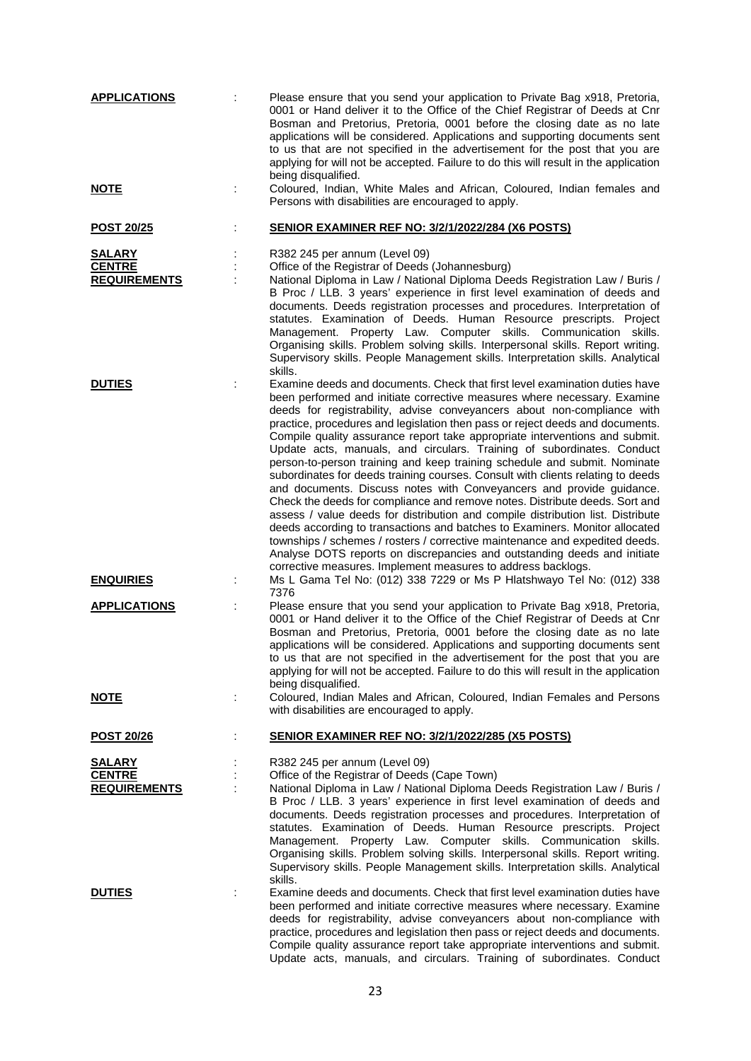| <b>APPLICATIONS</b>                                   |   | Please ensure that you send your application to Private Bag x918, Pretoria,<br>0001 or Hand deliver it to the Office of the Chief Registrar of Deeds at Cnr<br>Bosman and Pretorius, Pretoria, 0001 before the closing date as no late<br>applications will be considered. Applications and supporting documents sent<br>to us that are not specified in the advertisement for the post that you are<br>applying for will not be accepted. Failure to do this will result in the application<br>being disqualified.                                                                                                                                                                                                                                                                                                                                                                                                                                                                                                                                                                                                                                                                              |
|-------------------------------------------------------|---|--------------------------------------------------------------------------------------------------------------------------------------------------------------------------------------------------------------------------------------------------------------------------------------------------------------------------------------------------------------------------------------------------------------------------------------------------------------------------------------------------------------------------------------------------------------------------------------------------------------------------------------------------------------------------------------------------------------------------------------------------------------------------------------------------------------------------------------------------------------------------------------------------------------------------------------------------------------------------------------------------------------------------------------------------------------------------------------------------------------------------------------------------------------------------------------------------|
| <u>NOTE</u>                                           |   | Coloured, Indian, White Males and African, Coloured, Indian females and<br>Persons with disabilities are encouraged to apply.                                                                                                                                                                                                                                                                                                                                                                                                                                                                                                                                                                                                                                                                                                                                                                                                                                                                                                                                                                                                                                                                    |
| <b>POST 20/25</b>                                     |   | SENIOR EXAMINER REF NO: 3/2/1/2022/284 (X6 POSTS)                                                                                                                                                                                                                                                                                                                                                                                                                                                                                                                                                                                                                                                                                                                                                                                                                                                                                                                                                                                                                                                                                                                                                |
| <b>SALARY</b><br><b>CENTRE</b><br><b>REQUIREMENTS</b> |   | R382 245 per annum (Level 09)<br>Office of the Registrar of Deeds (Johannesburg)<br>National Diploma in Law / National Diploma Deeds Registration Law / Buris /<br>B Proc / LLB. 3 years' experience in first level examination of deeds and<br>documents. Deeds registration processes and procedures. Interpretation of<br>statutes. Examination of Deeds. Human Resource prescripts. Project<br>Management. Property Law. Computer skills. Communication skills.<br>Organising skills. Problem solving skills. Interpersonal skills. Report writing.<br>Supervisory skills. People Management skills. Interpretation skills. Analytical<br>skills.                                                                                                                                                                                                                                                                                                                                                                                                                                                                                                                                            |
| <b>DUTIES</b>                                         |   | Examine deeds and documents. Check that first level examination duties have<br>been performed and initiate corrective measures where necessary. Examine<br>deeds for registrability, advise conveyancers about non-compliance with<br>practice, procedures and legislation then pass or reject deeds and documents.<br>Compile quality assurance report take appropriate interventions and submit.<br>Update acts, manuals, and circulars. Training of subordinates. Conduct<br>person-to-person training and keep training schedule and submit. Nominate<br>subordinates for deeds training courses. Consult with clients relating to deeds<br>and documents. Discuss notes with Conveyancers and provide guidance.<br>Check the deeds for compliance and remove notes. Distribute deeds. Sort and<br>assess / value deeds for distribution and compile distribution list. Distribute<br>deeds according to transactions and batches to Examiners. Monitor allocated<br>townships / schemes / rosters / corrective maintenance and expedited deeds.<br>Analyse DOTS reports on discrepancies and outstanding deeds and initiate<br>corrective measures. Implement measures to address backlogs. |
| <b>ENQUIRIES</b>                                      | ÷ | Ms L Gama Tel No: (012) 338 7229 or Ms P Hlatshwayo Tel No: (012) 338<br>7376                                                                                                                                                                                                                                                                                                                                                                                                                                                                                                                                                                                                                                                                                                                                                                                                                                                                                                                                                                                                                                                                                                                    |
| <b>APPLICATIONS</b>                                   |   | Please ensure that you send your application to Private Bag x918, Pretoria,<br>0001 or Hand deliver it to the Office of the Chief Registrar of Deeds at Cnr<br>Bosman and Pretorius, Pretoria, 0001 before the closing date as no late<br>applications will be considered. Applications and supporting documents sent<br>to us that are not specified in the advertisement for the post that you are<br>applying for will not be accepted. Failure to do this will result in the application<br>being disqualified.                                                                                                                                                                                                                                                                                                                                                                                                                                                                                                                                                                                                                                                                              |
| <b>NOTE</b>                                           | ÷ | Coloured, Indian Males and African, Coloured, Indian Females and Persons<br>with disabilities are encouraged to apply.                                                                                                                                                                                                                                                                                                                                                                                                                                                                                                                                                                                                                                                                                                                                                                                                                                                                                                                                                                                                                                                                           |
| <u>POST 20/26</u>                                     | ÷ | <b>SENIOR EXAMINER REF NO: 3/2/1/2022/285 (X5 POSTS)</b>                                                                                                                                                                                                                                                                                                                                                                                                                                                                                                                                                                                                                                                                                                                                                                                                                                                                                                                                                                                                                                                                                                                                         |
| <b>SALARY</b><br><b>CENTRE</b><br><b>REQUIREMENTS</b> | t | R382 245 per annum (Level 09)<br>Office of the Registrar of Deeds (Cape Town)<br>National Diploma in Law / National Diploma Deeds Registration Law / Buris /<br>B Proc / LLB. 3 years' experience in first level examination of deeds and<br>documents. Deeds registration processes and procedures. Interpretation of<br>statutes. Examination of Deeds. Human Resource prescripts. Project<br>Management. Property Law. Computer skills. Communication skills.<br>Organising skills. Problem solving skills. Interpersonal skills. Report writing.<br>Supervisory skills. People Management skills. Interpretation skills. Analytical<br>skills.                                                                                                                                                                                                                                                                                                                                                                                                                                                                                                                                               |
| <b>DUTIES</b>                                         |   | Examine deeds and documents. Check that first level examination duties have<br>been performed and initiate corrective measures where necessary. Examine<br>deeds for registrability, advise conveyancers about non-compliance with<br>practice, procedures and legislation then pass or reject deeds and documents.<br>Compile quality assurance report take appropriate interventions and submit.<br>Update acts, manuals, and circulars. Training of subordinates. Conduct                                                                                                                                                                                                                                                                                                                                                                                                                                                                                                                                                                                                                                                                                                                     |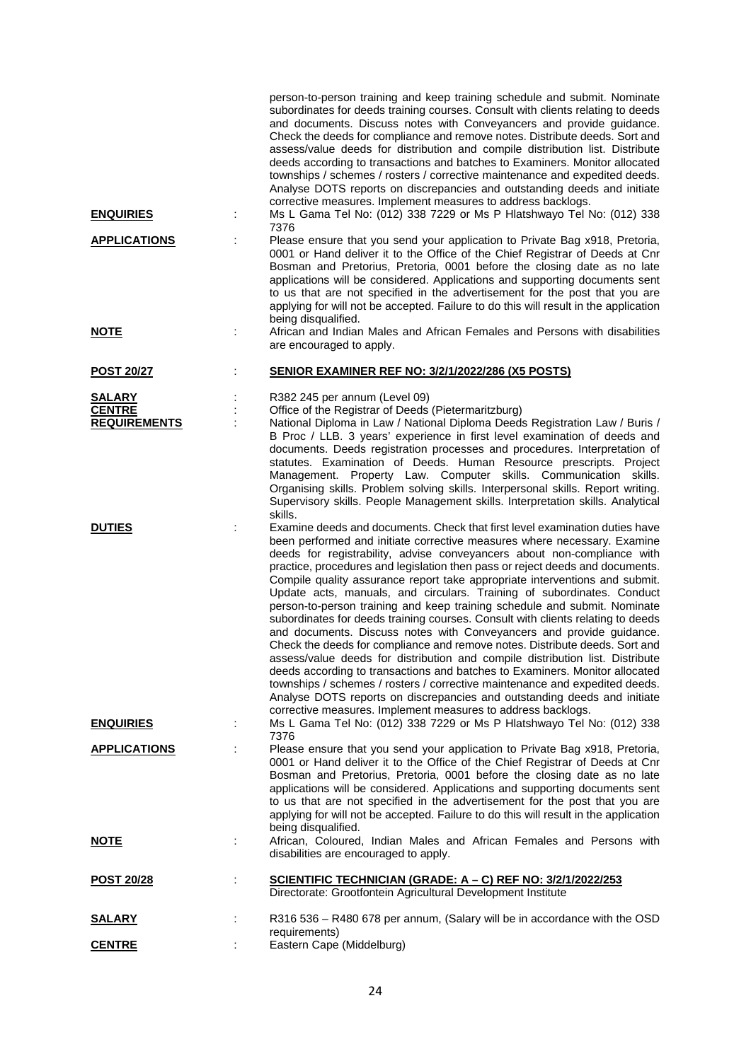| <b>ENQUIRIES</b>                     | ÷ | person-to-person training and keep training schedule and submit. Nominate<br>subordinates for deeds training courses. Consult with clients relating to deeds<br>and documents. Discuss notes with Conveyancers and provide guidance.<br>Check the deeds for compliance and remove notes. Distribute deeds. Sort and<br>assess/value deeds for distribution and compile distribution list. Distribute<br>deeds according to transactions and batches to Examiners. Monitor allocated<br>townships / schemes / rosters / corrective maintenance and expedited deeds.<br>Analyse DOTS reports on discrepancies and outstanding deeds and initiate<br>corrective measures. Implement measures to address backlogs.<br>Ms L Gama Tel No: (012) 338 7229 or Ms P Hlatshwayo Tel No: (012) 338                                                                                                                                                                                                                                                                                                                                                                                                        |
|--------------------------------------|---|------------------------------------------------------------------------------------------------------------------------------------------------------------------------------------------------------------------------------------------------------------------------------------------------------------------------------------------------------------------------------------------------------------------------------------------------------------------------------------------------------------------------------------------------------------------------------------------------------------------------------------------------------------------------------------------------------------------------------------------------------------------------------------------------------------------------------------------------------------------------------------------------------------------------------------------------------------------------------------------------------------------------------------------------------------------------------------------------------------------------------------------------------------------------------------------------|
| <b>APPLICATIONS</b>                  |   | 7376<br>Please ensure that you send your application to Private Bag x918, Pretoria,                                                                                                                                                                                                                                                                                                                                                                                                                                                                                                                                                                                                                                                                                                                                                                                                                                                                                                                                                                                                                                                                                                            |
|                                      |   | 0001 or Hand deliver it to the Office of the Chief Registrar of Deeds at Cnr<br>Bosman and Pretorius, Pretoria, 0001 before the closing date as no late<br>applications will be considered. Applications and supporting documents sent<br>to us that are not specified in the advertisement for the post that you are<br>applying for will not be accepted. Failure to do this will result in the application<br>being disqualified.                                                                                                                                                                                                                                                                                                                                                                                                                                                                                                                                                                                                                                                                                                                                                           |
| <u>NOTE</u>                          | ÷ | African and Indian Males and African Females and Persons with disabilities<br>are encouraged to apply.                                                                                                                                                                                                                                                                                                                                                                                                                                                                                                                                                                                                                                                                                                                                                                                                                                                                                                                                                                                                                                                                                         |
| <b>POST 20/27</b>                    |   | <b>SENIOR EXAMINER REF NO: 3/2/1/2022/286 (X5 POSTS)</b>                                                                                                                                                                                                                                                                                                                                                                                                                                                                                                                                                                                                                                                                                                                                                                                                                                                                                                                                                                                                                                                                                                                                       |
| <b>SALARY</b>                        |   | R382 245 per annum (Level 09)                                                                                                                                                                                                                                                                                                                                                                                                                                                                                                                                                                                                                                                                                                                                                                                                                                                                                                                                                                                                                                                                                                                                                                  |
| <b>CENTRE</b><br><b>REQUIREMENTS</b> | ÷ | Office of the Registrar of Deeds (Pietermaritzburg)<br>National Diploma in Law / National Diploma Deeds Registration Law / Buris /                                                                                                                                                                                                                                                                                                                                                                                                                                                                                                                                                                                                                                                                                                                                                                                                                                                                                                                                                                                                                                                             |
|                                      |   | B Proc / LLB. 3 years' experience in first level examination of deeds and<br>documents. Deeds registration processes and procedures. Interpretation of<br>statutes. Examination of Deeds. Human Resource prescripts. Project<br>Management. Property Law. Computer skills. Communication skills.<br>Organising skills. Problem solving skills. Interpersonal skills. Report writing.<br>Supervisory skills. People Management skills. Interpretation skills. Analytical<br>skills.                                                                                                                                                                                                                                                                                                                                                                                                                                                                                                                                                                                                                                                                                                             |
| <b>DUTIES</b>                        |   | Examine deeds and documents. Check that first level examination duties have<br>been performed and initiate corrective measures where necessary. Examine<br>deeds for registrability, advise conveyancers about non-compliance with<br>practice, procedures and legislation then pass or reject deeds and documents.<br>Compile quality assurance report take appropriate interventions and submit.<br>Update acts, manuals, and circulars. Training of subordinates. Conduct<br>person-to-person training and keep training schedule and submit. Nominate<br>subordinates for deeds training courses. Consult with clients relating to deeds<br>and documents. Discuss notes with Conveyancers and provide guidance.<br>Check the deeds for compliance and remove notes. Distribute deeds. Sort and<br>assess/value deeds for distribution and compile distribution list. Distribute<br>deeds according to transactions and batches to Examiners. Monitor allocated<br>townships / schemes / rosters / corrective maintenance and expedited deeds.<br>Analyse DOTS reports on discrepancies and outstanding deeds and initiate<br>corrective measures. Implement measures to address backlogs. |
| <b>ENQUIRIES</b>                     |   | Ms L Gama Tel No: (012) 338 7229 or Ms P Hlatshwayo Tel No: (012) 338<br>7376                                                                                                                                                                                                                                                                                                                                                                                                                                                                                                                                                                                                                                                                                                                                                                                                                                                                                                                                                                                                                                                                                                                  |
| <b>APPLICATIONS</b>                  |   | Please ensure that you send your application to Private Bag x918, Pretoria,<br>0001 or Hand deliver it to the Office of the Chief Registrar of Deeds at Cnr<br>Bosman and Pretorius, Pretoria, 0001 before the closing date as no late<br>applications will be considered. Applications and supporting documents sent<br>to us that are not specified in the advertisement for the post that you are<br>applying for will not be accepted. Failure to do this will result in the application<br>being disqualified.                                                                                                                                                                                                                                                                                                                                                                                                                                                                                                                                                                                                                                                                            |
| <b>NOTE</b>                          |   | African, Coloured, Indian Males and African Females and Persons with<br>disabilities are encouraged to apply.                                                                                                                                                                                                                                                                                                                                                                                                                                                                                                                                                                                                                                                                                                                                                                                                                                                                                                                                                                                                                                                                                  |
| <u>POST 20/28</u>                    | ÷ | <u>SCIENTIFIC TECHNICIAN (GRADE: A – C) REF NO: 3/2/1/2022/253</u><br>Directorate: Grootfontein Agricultural Development Institute                                                                                                                                                                                                                                                                                                                                                                                                                                                                                                                                                                                                                                                                                                                                                                                                                                                                                                                                                                                                                                                             |
| <u>SALARY</u>                        |   | R316 536 - R480 678 per annum, (Salary will be in accordance with the OSD                                                                                                                                                                                                                                                                                                                                                                                                                                                                                                                                                                                                                                                                                                                                                                                                                                                                                                                                                                                                                                                                                                                      |
| <b>CENTRE</b>                        |   | requirements)<br>Eastern Cape (Middelburg)                                                                                                                                                                                                                                                                                                                                                                                                                                                                                                                                                                                                                                                                                                                                                                                                                                                                                                                                                                                                                                                                                                                                                     |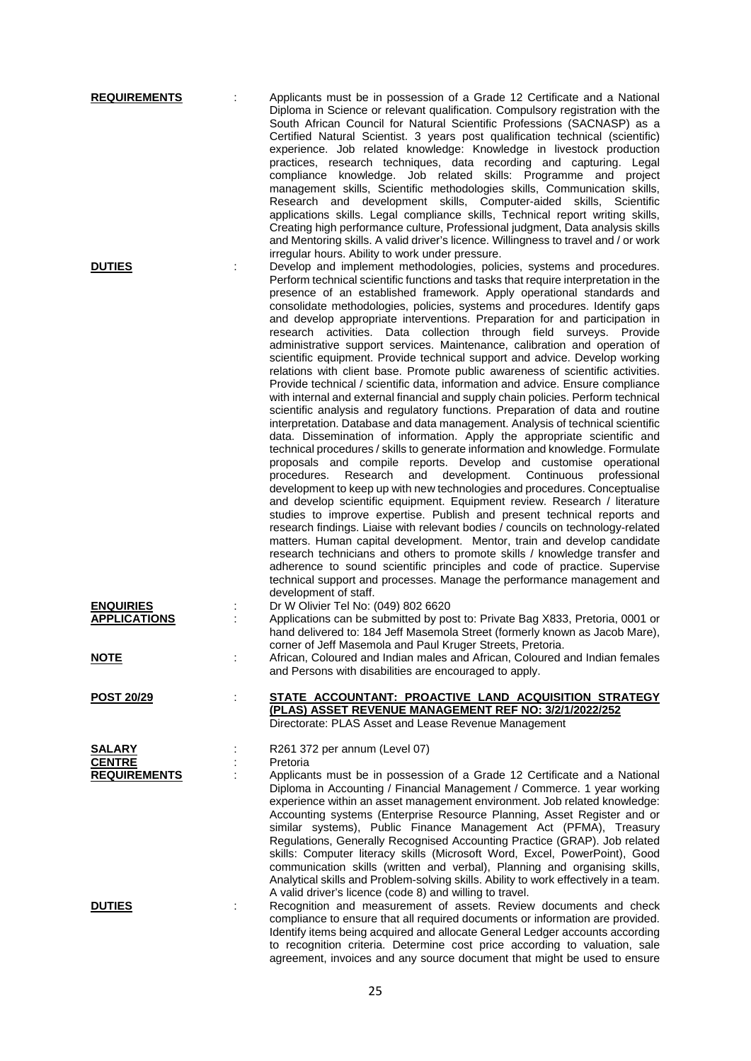| <b>REQUIREMENTS</b>                                   | Applicants must be in possession of a Grade 12 Certificate and a National<br>Diploma in Science or relevant qualification. Compulsory registration with the<br>South African Council for Natural Scientific Professions (SACNASP) as a<br>Certified Natural Scientist. 3 years post qualification technical (scientific)<br>experience. Job related knowledge: Knowledge in livestock production<br>practices, research techniques, data recording and capturing. Legal<br>compliance knowledge. Job related skills: Programme and project<br>management skills, Scientific methodologies skills, Communication skills,<br>Research and development skills, Computer-aided skills, Scientific<br>applications skills. Legal compliance skills, Technical report writing skills,<br>Creating high performance culture, Professional judgment, Data analysis skills<br>and Mentoring skills. A valid driver's licence. Willingness to travel and / or work                                                                                                                                                                                                                                                                                                                                                                                                                                                                                                                                                                                                                                                                                                                                                                                                                                                                                                                                                                                                                                                                                                                                                   |
|-------------------------------------------------------|------------------------------------------------------------------------------------------------------------------------------------------------------------------------------------------------------------------------------------------------------------------------------------------------------------------------------------------------------------------------------------------------------------------------------------------------------------------------------------------------------------------------------------------------------------------------------------------------------------------------------------------------------------------------------------------------------------------------------------------------------------------------------------------------------------------------------------------------------------------------------------------------------------------------------------------------------------------------------------------------------------------------------------------------------------------------------------------------------------------------------------------------------------------------------------------------------------------------------------------------------------------------------------------------------------------------------------------------------------------------------------------------------------------------------------------------------------------------------------------------------------------------------------------------------------------------------------------------------------------------------------------------------------------------------------------------------------------------------------------------------------------------------------------------------------------------------------------------------------------------------------------------------------------------------------------------------------------------------------------------------------------------------------------------------------------------------------------------------------|
| <b>DUTIES</b>                                         | irregular hours. Ability to work under pressure.<br>Develop and implement methodologies, policies, systems and procedures.<br>Perform technical scientific functions and tasks that require interpretation in the<br>presence of an established framework. Apply operational standards and<br>consolidate methodologies, policies, systems and procedures. Identify gaps<br>and develop appropriate interventions. Preparation for and participation in<br>research activities.<br>Data collection through field surveys. Provide<br>administrative support services. Maintenance, calibration and operation of<br>scientific equipment. Provide technical support and advice. Develop working<br>relations with client base. Promote public awareness of scientific activities.<br>Provide technical / scientific data, information and advice. Ensure compliance<br>with internal and external financial and supply chain policies. Perform technical<br>scientific analysis and regulatory functions. Preparation of data and routine<br>interpretation. Database and data management. Analysis of technical scientific<br>data. Dissemination of information. Apply the appropriate scientific and<br>technical procedures / skills to generate information and knowledge. Formulate<br>proposals and compile reports. Develop and customise operational<br>procedures.<br>Research<br>and<br>development. Continuous<br>professional<br>development to keep up with new technologies and procedures. Conceptualise<br>and develop scientific equipment. Equipment review. Research / literature<br>studies to improve expertise. Publish and present technical reports and<br>research findings. Liaise with relevant bodies / councils on technology-related<br>matters. Human capital development. Mentor, train and develop candidate<br>research technicians and others to promote skills / knowledge transfer and<br>adherence to sound scientific principles and code of practice. Supervise<br>technical support and processes. Manage the performance management and<br>development of staff. |
| <b>ENQUIRIES</b><br><b>APPLICATIONS</b>               | Dr W Olivier Tel No: (049) 802 6620<br>Applications can be submitted by post to: Private Bag X833, Pretoria, 0001 or<br>hand delivered to: 184 Jeff Masemola Street (formerly known as Jacob Mare),<br>corner of Jeff Masemola and Paul Kruger Streets, Pretoria.                                                                                                                                                                                                                                                                                                                                                                                                                                                                                                                                                                                                                                                                                                                                                                                                                                                                                                                                                                                                                                                                                                                                                                                                                                                                                                                                                                                                                                                                                                                                                                                                                                                                                                                                                                                                                                          |
| <u>NOTE</u>                                           | African, Coloured and Indian males and African, Coloured and Indian females<br>and Persons with disabilities are encouraged to apply.                                                                                                                                                                                                                                                                                                                                                                                                                                                                                                                                                                                                                                                                                                                                                                                                                                                                                                                                                                                                                                                                                                                                                                                                                                                                                                                                                                                                                                                                                                                                                                                                                                                                                                                                                                                                                                                                                                                                                                      |
| <b>POST 20/29</b>                                     | STATE ACCOUNTANT: PROACTIVE LAND ACQUISITION STRATEGY<br>(PLAS) ASSET REVENUE MANAGEMENT REF NO: 3/2/1/2022/252<br>Directorate: PLAS Asset and Lease Revenue Management                                                                                                                                                                                                                                                                                                                                                                                                                                                                                                                                                                                                                                                                                                                                                                                                                                                                                                                                                                                                                                                                                                                                                                                                                                                                                                                                                                                                                                                                                                                                                                                                                                                                                                                                                                                                                                                                                                                                    |
| <b>SALARY</b><br><b>CENTRE</b><br><b>REQUIREMENTS</b> | R261 372 per annum (Level 07)<br>Pretoria<br>Applicants must be in possession of a Grade 12 Certificate and a National<br>Diploma in Accounting / Financial Management / Commerce. 1 year working<br>experience within an asset management environment. Job related knowledge:<br>Accounting systems (Enterprise Resource Planning, Asset Register and or<br>similar systems), Public Finance Management Act (PFMA), Treasury<br>Regulations, Generally Recognised Accounting Practice (GRAP). Job related<br>skills: Computer literacy skills (Microsoft Word, Excel, PowerPoint), Good<br>communication skills (written and verbal), Planning and organising skills,<br>Analytical skills and Problem-solving skills. Ability to work effectively in a team.<br>A valid driver's licence (code 8) and willing to travel.                                                                                                                                                                                                                                                                                                                                                                                                                                                                                                                                                                                                                                                                                                                                                                                                                                                                                                                                                                                                                                                                                                                                                                                                                                                                                 |
| <b>DUTIES</b>                                         | Recognition and measurement of assets. Review documents and check<br>compliance to ensure that all required documents or information are provided.<br>Identify items being acquired and allocate General Ledger accounts according<br>to recognition criteria. Determine cost price according to valuation, sale                                                                                                                                                                                                                                                                                                                                                                                                                                                                                                                                                                                                                                                                                                                                                                                                                                                                                                                                                                                                                                                                                                                                                                                                                                                                                                                                                                                                                                                                                                                                                                                                                                                                                                                                                                                           |

agreement, invoices and any source document that might be used to ensure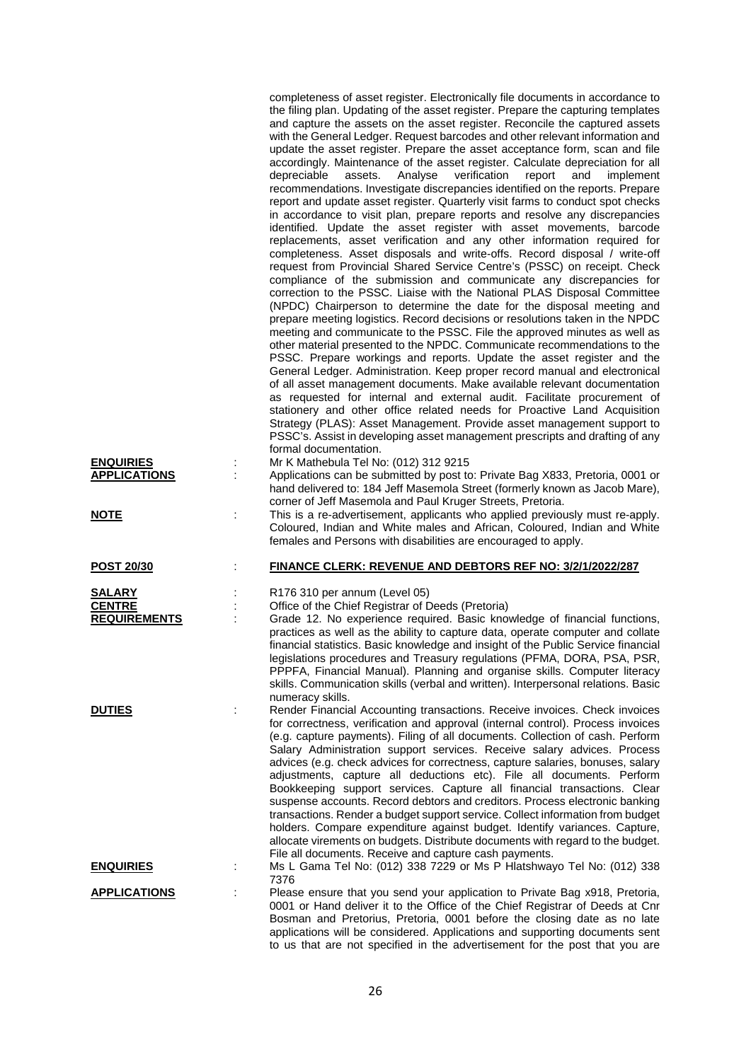| <b>ENQUIRIES</b><br><b>APPLICATIONS</b><br><b>NOTE</b> | İ | completeness of asset register. Electronically file documents in accordance to<br>the filing plan. Updating of the asset register. Prepare the capturing templates<br>and capture the assets on the asset register. Reconcile the captured assets<br>with the General Ledger. Request barcodes and other relevant information and<br>update the asset register. Prepare the asset acceptance form, scan and file<br>accordingly. Maintenance of the asset register. Calculate depreciation for all<br>assets.<br>Analyse<br>verification<br>report<br>depreciable<br>and<br>implement<br>recommendations. Investigate discrepancies identified on the reports. Prepare<br>report and update asset register. Quarterly visit farms to conduct spot checks<br>in accordance to visit plan, prepare reports and resolve any discrepancies<br>identified. Update the asset register with asset movements, barcode<br>replacements, asset verification and any other information required for<br>completeness. Asset disposals and write-offs. Record disposal / write-off<br>request from Provincial Shared Service Centre's (PSSC) on receipt. Check<br>compliance of the submission and communicate any discrepancies for<br>correction to the PSSC. Liaise with the National PLAS Disposal Committee<br>(NPDC) Chairperson to determine the date for the disposal meeting and<br>prepare meeting logistics. Record decisions or resolutions taken in the NPDC<br>meeting and communicate to the PSSC. File the approved minutes as well as<br>other material presented to the NPDC. Communicate recommendations to the<br>PSSC. Prepare workings and reports. Update the asset register and the<br>General Ledger. Administration. Keep proper record manual and electronical<br>of all asset management documents. Make available relevant documentation<br>as requested for internal and external audit. Facilitate procurement of<br>stationery and other office related needs for Proactive Land Acquisition<br>Strategy (PLAS): Asset Management. Provide asset management support to<br>PSSC's. Assist in developing asset management prescripts and drafting of any<br>formal documentation.<br>Mr K Mathebula Tel No: (012) 312 9215<br>Applications can be submitted by post to: Private Bag X833, Pretoria, 0001 or<br>hand delivered to: 184 Jeff Masemola Street (formerly known as Jacob Mare),<br>corner of Jeff Masemola and Paul Kruger Streets, Pretoria.<br>This is a re-advertisement, applicants who applied previously must re-apply. |
|--------------------------------------------------------|---|-----------------------------------------------------------------------------------------------------------------------------------------------------------------------------------------------------------------------------------------------------------------------------------------------------------------------------------------------------------------------------------------------------------------------------------------------------------------------------------------------------------------------------------------------------------------------------------------------------------------------------------------------------------------------------------------------------------------------------------------------------------------------------------------------------------------------------------------------------------------------------------------------------------------------------------------------------------------------------------------------------------------------------------------------------------------------------------------------------------------------------------------------------------------------------------------------------------------------------------------------------------------------------------------------------------------------------------------------------------------------------------------------------------------------------------------------------------------------------------------------------------------------------------------------------------------------------------------------------------------------------------------------------------------------------------------------------------------------------------------------------------------------------------------------------------------------------------------------------------------------------------------------------------------------------------------------------------------------------------------------------------------------------------------------------------------------------------------------------------------------------------------------------------------------------------------------------------------------------------------------------------------------------------------------------------------------------------------------------------------------------------------------------------------------------------------------------------------------------------------------------------------------------------------------------------|
|                                                        |   | Coloured, Indian and White males and African, Coloured, Indian and White<br>females and Persons with disabilities are encouraged to apply.                                                                                                                                                                                                                                                                                                                                                                                                                                                                                                                                                                                                                                                                                                                                                                                                                                                                                                                                                                                                                                                                                                                                                                                                                                                                                                                                                                                                                                                                                                                                                                                                                                                                                                                                                                                                                                                                                                                                                                                                                                                                                                                                                                                                                                                                                                                                                                                                                |
| <b>POST 20/30</b>                                      |   | FINANCE CLERK: REVENUE AND DEBTORS REF NO: 3/2/1/2022/287                                                                                                                                                                                                                                                                                                                                                                                                                                                                                                                                                                                                                                                                                                                                                                                                                                                                                                                                                                                                                                                                                                                                                                                                                                                                                                                                                                                                                                                                                                                                                                                                                                                                                                                                                                                                                                                                                                                                                                                                                                                                                                                                                                                                                                                                                                                                                                                                                                                                                                 |
| <b>SALARY</b><br><b>CENTRE</b><br><b>REQUIREMENTS</b>  |   | R176 310 per annum (Level 05)<br>Office of the Chief Registrar of Deeds (Pretoria)<br>Grade 12. No experience required. Basic knowledge of financial functions,<br>practices as well as the ability to capture data, operate computer and collate<br>financial statistics. Basic knowledge and insight of the Public Service financial<br>legislations procedures and Treasury regulations (PFMA, DORA, PSA, PSR,<br>PPPFA, Financial Manual). Planning and organise skills. Computer literacy<br>skills. Communication skills (verbal and written). Interpersonal relations. Basic<br>numeracy skills.                                                                                                                                                                                                                                                                                                                                                                                                                                                                                                                                                                                                                                                                                                                                                                                                                                                                                                                                                                                                                                                                                                                                                                                                                                                                                                                                                                                                                                                                                                                                                                                                                                                                                                                                                                                                                                                                                                                                                   |
| <b>DUTIES</b>                                          |   | Render Financial Accounting transactions. Receive invoices. Check invoices<br>for correctness, verification and approval (internal control). Process invoices<br>(e.g. capture payments). Filing of all documents. Collection of cash. Perform<br>Salary Administration support services. Receive salary advices. Process<br>advices (e.g. check advices for correctness, capture salaries, bonuses, salary<br>adjustments, capture all deductions etc). File all documents. Perform<br>Bookkeeping support services. Capture all financial transactions. Clear<br>suspense accounts. Record debtors and creditors. Process electronic banking<br>transactions. Render a budget support service. Collect information from budget<br>holders. Compare expenditure against budget. Identify variances. Capture,<br>allocate virements on budgets. Distribute documents with regard to the budget.<br>File all documents. Receive and capture cash payments.                                                                                                                                                                                                                                                                                                                                                                                                                                                                                                                                                                                                                                                                                                                                                                                                                                                                                                                                                                                                                                                                                                                                                                                                                                                                                                                                                                                                                                                                                                                                                                                                 |
| <u>ENQUIRIES</u>                                       |   | Ms L Gama Tel No: (012) 338 7229 or Ms P Hlatshwayo Tel No: (012) 338<br>7376                                                                                                                                                                                                                                                                                                                                                                                                                                                                                                                                                                                                                                                                                                                                                                                                                                                                                                                                                                                                                                                                                                                                                                                                                                                                                                                                                                                                                                                                                                                                                                                                                                                                                                                                                                                                                                                                                                                                                                                                                                                                                                                                                                                                                                                                                                                                                                                                                                                                             |
| <b>APPLICATIONS</b>                                    |   | Please ensure that you send your application to Private Bag x918, Pretoria,<br>0001 or Hand deliver it to the Office of the Chief Registrar of Deeds at Cnr<br>Bosman and Pretorius, Pretoria, 0001 before the closing date as no late<br>applications will be considered. Applications and supporting documents sent<br>to us that are not specified in the advertisement for the post that you are                                                                                                                                                                                                                                                                                                                                                                                                                                                                                                                                                                                                                                                                                                                                                                                                                                                                                                                                                                                                                                                                                                                                                                                                                                                                                                                                                                                                                                                                                                                                                                                                                                                                                                                                                                                                                                                                                                                                                                                                                                                                                                                                                      |